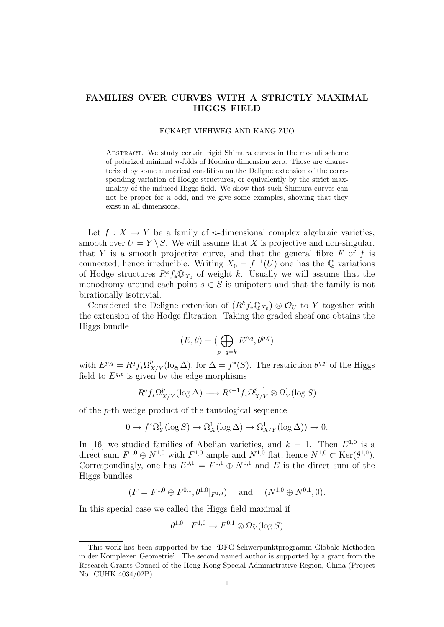# FAMILIES OVER CURVES WITH A STRICTLY MAXIMAL HIGGS FIELD

#### ECKART VIEHWEG AND KANG ZUO

Abstract. We study certain rigid Shimura curves in the moduli scheme of polarized minimal n-folds of Kodaira dimension zero. Those are characterized by some numerical condition on the Deligne extension of the corresponding variation of Hodge structures, or equivalently by the strict maximality of the induced Higgs field. We show that such Shimura curves can not be proper for  $n$  odd, and we give some examples, showing that they exist in all dimensions.

Let  $f: X \to Y$  be a family of *n*-dimensional complex algebraic varieties, smooth over  $U = Y \setminus S$ . We will assume that X is projective and non-singular, that Y is a smooth projective curve, and that the general fibre  $F$  of  $f$  is connected, hence irreducible. Writing  $X_0 = f^{-1}(U)$  one has the Q variations of Hodge structures  $R^k f_* \mathbb{Q}_{X_0}$  of weight k. Usually we will assume that the monodromy around each point  $s \in S$  is unipotent and that the family is not birationally isotrivial.

Considered the Deligne extension of  $(R<sup>k</sup> f_* \mathbb{Q}_{X_0}) \otimes \mathcal{O}_U$  to Y together with the extension of the Hodge filtration. Taking the graded sheaf one obtains the Higgs bundle

$$
(E,\theta)=(\bigoplus_{p+q=k}E^{p,q},\theta^{p,q})
$$

with  $E^{p,q} = R^q f_* \Omega^p_{X/Y} (\log \Delta)$ , for  $\Delta = f^*(S)$ . The restriction  $\theta^{q,p}$  of the Higgs field to  $E^{q,p}$  is given by the edge morphisms

$$
R^qf_*\Omega^p_{X/Y}({\rm log}\,\Delta)\longrightarrow R^{q+1}f_*\Omega^{p-1}_{X/Y}\otimes\Omega^1_Y({\rm log}\,S)
$$

of the p-th wedge product of the tautological sequence

$$
0 \to f^*\Omega^1_Y(\log S) \to \Omega^1_X(\log \Delta) \to \Omega^1_{X/Y}(\log \Delta)) \to 0.
$$

In [16] we studied families of Abelian varieties, and  $k = 1$ . Then  $E^{1,0}$  is a direct sum  $F^{1,0} \oplus N^{1,0}$  with  $F^{1,0}$  ample and  $N^{1,0}$  flat, hence  $N^{1,0} \subset \text{Ker}(\theta^{1,0})$ . Correspondingly, one has  $E^{0,1} = F^{0,1} \oplus N^{0,1}$  and E is the direct sum of the Higgs bundles

$$
(F = F^{1,0} \oplus F^{0,1}, \theta^{1,0}|_{F^{1,0}}) \quad \text{and} \quad (N^{1,0} \oplus N^{0,1}, 0).
$$

In this special case we called the Higgs field maximal if

$$
\theta^{1,0}: F^{1,0} \to F^{0,1}\otimes \Omega^1_Y(\log S)
$$

This work has been supported by the "DFG-Schwerpunktprogramm Globale Methoden in der Komplexen Geometrie". The second named author is supported by a grant from the Research Grants Council of the Hong Kong Special Administrative Region, China (Project No. CUHK 4034/02P).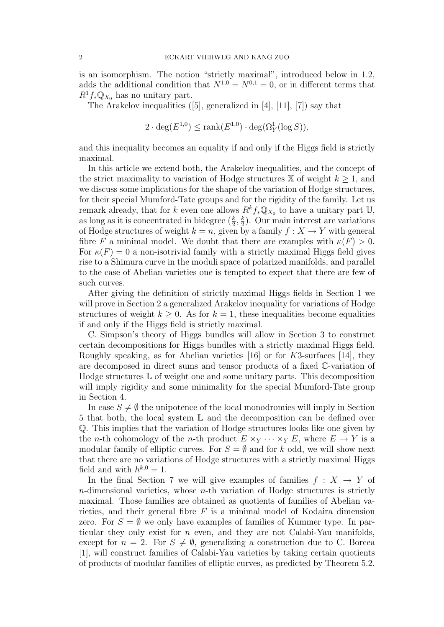is an isomorphism. The notion "strictly maximal", introduced below in 1.2, adds the additional condition that  $N^{1,0} = N^{0,1} = 0$ , or in different terms that  $R^1f_*\mathbb{Q}_{X_0}$  has no unitary part.

The Arakelov inequalities  $([5]$ , generalized in  $[4]$ ,  $[11]$ ,  $[7]$ ) say that

 $2 \cdot \deg(E^{1,0}) \le \text{rank}(E^{1,0}) \cdot \deg(\Omega_Y^1(\log S)),$ 

and this inequality becomes an equality if and only if the Higgs field is strictly maximal.

In this article we extend both, the Arakelov inequalities, and the concept of the strict maximality to variation of Hodge structures  $X$  of weight  $k \geq 1$ , and we discuss some implications for the shape of the variation of Hodge structures, for their special Mumford-Tate groups and for the rigidity of the family. Let us remark already, that for k even one allows  $R^k f_* \mathbb{Q}_{X_0}$  to have a unitary part U, as long as it is concentrated in bidegree  $(\frac{k}{2}, \frac{k}{2})$  $\frac{k}{2}$ ). Our main interest are variations of Hodge structures of weight  $k = n$ , given by a family  $f : X \to Y$  with general fibre F a minimal model. We doubt that there are examples with  $\kappa(F) > 0$ . For  $\kappa(F) = 0$  a non-isotrivial family with a strictly maximal Higgs field gives rise to a Shimura curve in the moduli space of polarized manifolds, and parallel to the case of Abelian varieties one is tempted to expect that there are few of such curves.

After giving the definition of strictly maximal Higgs fields in Section 1 we will prove in Section 2 a generalized Arakelov inequality for variations of Hodge structures of weight  $k \geq 0$ . As for  $k = 1$ , these inequalities become equalities if and only if the Higgs field is strictly maximal.

C. Simpson's theory of Higgs bundles will allow in Section 3 to construct certain decompositions for Higgs bundles with a strictly maximal Higgs field. Roughly speaking, as for Abelian varieties [16] or for  $K3$ -surfaces [14], they are decomposed in direct sums and tensor products of a fixed C-variation of Hodge structures  $\mathbb L$  of weight one and some unitary parts. This decomposition will imply rigidity and some minimality for the special Mumford-Tate group in Section 4.

In case  $S \neq \emptyset$  the unipotence of the local monodromies will imply in Section 5 that both, the local system L and the decomposition can be defined over Q. This implies that the variation of Hodge structures looks like one given by the *n*-th cohomology of the *n*-th product  $E \times_Y \cdots \times_Y E$ , where  $E \to Y$  is a modular family of elliptic curves. For  $S = \emptyset$  and for k odd, we will show next that there are no variations of Hodge structures with a strictly maximal Higgs field and with  $h^{k,0} = 1$ .

In the final Section 7 we will give examples of families  $f : X \to Y$  of  $n$ -dimensional varieties, whose  $n$ -th variation of Hodge structures is strictly maximal. Those families are obtained as quotients of families of Abelian varieties, and their general fibre  $F$  is a minimal model of Kodaira dimension zero. For  $S = \emptyset$  we only have examples of families of Kummer type. In particular they only exist for  $n$  even, and they are not Calabi-Yau manifolds, except for  $n = 2$ . For  $S \neq \emptyset$ , generalizing a construction due to C. Borcea [1], will construct families of Calabi-Yau varieties by taking certain quotients of products of modular families of elliptic curves, as predicted by Theorem 5.2.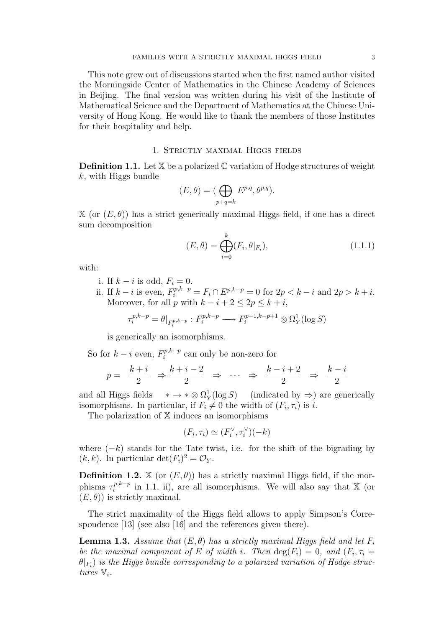This note grew out of discussions started when the first named author visited the Morningside Center of Mathematics in the Chinese Academy of Sciences in Beijing. The final version was written during his visit of the Institute of Mathematical Science and the Department of Mathematics at the Chinese University of Hong Kong. He would like to thank the members of those Institutes for their hospitality and help.

## 1. Strictly maximal Higgs fields

**Definition 1.1.** Let  $X$  be a polarized  $C$  variation of Hodge structures of weight  $k$ , with Higgs bundle

$$
(E, \theta) = (\bigoplus_{p+q=k} E^{p,q}, \theta^{p,q}).
$$

 $X$  (or  $(E, \theta)$ ) has a strict generically maximal Higgs field, if one has a direct sum decomposition

$$
(E, \theta) = \bigoplus_{i=0}^{k} (F_i, \theta|_{F_i}), \qquad (1.1.1)
$$

with:

- i. If  $k i$  is odd,  $F_i = 0$ .
- ii. If  $k i$  is even,  $F_i^{p,k-p} = F_i \cap E^{p,k-p} = 0$  for  $2p < k i$  and  $2p > k + i$ . Moreover, for all p with  $k - i + 2 \leq 2p \leq k + i$ ,

$$
\tau_i^{p,k-p} = \theta|_{F_i^{p,k-p}} : F_i^{p,k-p} \longrightarrow F_i^{p-1,k-p+1} \otimes \Omega_Y^1(\log S)
$$

is generically an isomorphisms.

So for  $k - i$  even,  $F_i^{p,k-p}$  $e_i^{p,\kappa-p}$  can only be non-zero for

$$
p = \frac{k+i}{2} \Rightarrow \frac{k+i-2}{2} \Rightarrow \cdots \Rightarrow \frac{k-i+2}{2} \Rightarrow \frac{k-i}{2}
$$

and all Higgs fields  $\frac{1}{Y}(\log S)$  (indicated by  $\Rightarrow$ ) are generically isomorphisms. In particular, if  $F_i \neq 0$  the width of  $(F_i, \tau_i)$  is i.

The polarization of X induces an isomorphisms

$$
(F_i, \tau_i) \simeq (F_i^{\vee}, \tau_i^{\vee})(-k)
$$

where  $(-k)$  stands for the Tate twist, i.e. for the shift of the bigrading by  $(k, k)$ . In particular  $\det(F_i)^2 = \mathcal{O}_Y$ .

**Definition 1.2.** X (or  $(E, \theta)$ ) has a strictly maximal Higgs field, if the morphisms  $\tau_i^{p,k-p}$  $i^{p,k-p}$  in 1.1, ii), are all isomorphisms. We will also say that X (or  $(E, \theta)$  is strictly maximal.

The strict maximality of the Higgs field allows to apply Simpson's Correspondence [13] (see also [16] and the references given there).

**Lemma 1.3.** Assume that  $(E, \theta)$  has a strictly maximal Higgs field and let  $F_i$ be the maximal component of E of width i. Then  $\deg(F_i) = 0$ , and  $(F_i, \tau_i =$  $\theta|_{F_i})$  is the Higgs bundle corresponding to a polarized variation of Hodge structures  $\mathbb{V}_i$ .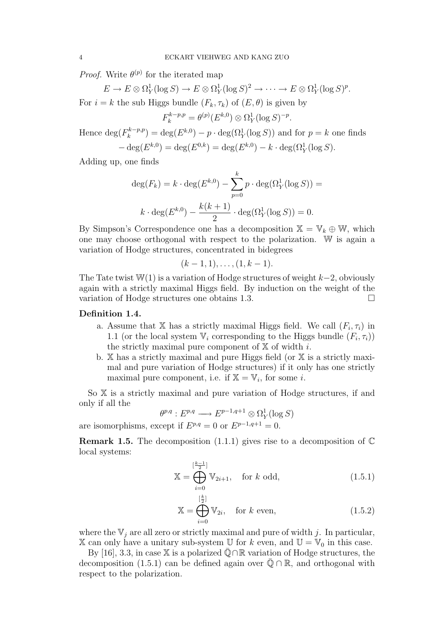*Proof.* Write  $\theta^{(p)}$  for the iterated map

 $E \to E \otimes \Omega_Y^1(\log S) \to E \otimes \Omega_Y^1(\log S)^2 \to \cdots \to E \otimes \Omega_Y^1(\log S)^p.$ For  $i = k$  the sub Higgs bundle  $(F_k, \tau_k)$  of  $(E, \theta)$  is given by

 $F_k^{k-p,p} = \theta^{(p)}(E^{k,0}) \otimes \Omega_Y^1(\log S)^{-p}.$ 

Hence  $\deg(F_k^{k-p,p})$  $\binom{k-p,p}{k} = \deg(E^{k,0}) - p \cdot \deg(\Omega_Y^1(\log S))$  and for  $p = k$  one finds  $-\deg(E^{k,0}) = \deg(E^{0,k}) = \deg(E^{k,0}) - k \cdot \deg(\Omega_Y^1(\log S)).$ 

Adding up, one finds

$$
\deg(F_k) = k \cdot \deg(E^{k,0}) - \sum_{p=0}^k p \cdot \deg(\Omega_Y^1(\log S)) =
$$
  

$$
k \cdot \deg(E^{k,0}) - \frac{k(k+1)}{2} \cdot \deg(\Omega_Y^1(\log S)) = 0.
$$

By Simpson's Correspondence one has a decomposition  $\mathbb{X} = \mathbb{V}_k \oplus \mathbb{W}$ , which one may choose orthogonal with respect to the polarization. W is again a variation of Hodge structures, concentrated in bidegrees

$$
(k-1,1), \ldots, (1, k-1).
$$

The Tate twist  $\mathbb{W}(1)$  is a variation of Hodge structures of weight  $k-2$ , obviously again with a strictly maximal Higgs field. By induction on the weight of the variation of Hodge structures one obtains 1.3.

### Definition 1.4.

- a. Assume that X has a strictly maximal Higgs field. We call  $(F_i, \tau_i)$  in 1.1 (or the local system  $\mathbb{V}_i$  corresponding to the Higgs bundle  $(F_i, \tau_i)$ ) the strictly maximal pure component of  $X$  of width i.
- b.  $X$  has a strictly maximal and pure Higgs field (or  $X$  is a strictly maximal and pure variation of Hodge structures) if it only has one strictly maximal pure component, i.e. if  $\mathbb{X} = \mathbb{V}_i$ , for some *i*.

So X is a strictly maximal and pure variation of Hodge structures, if and only if all the

 $\theta^{p,q}: E^{p,q} \longrightarrow E^{p-1,q+1}\otimes \Omega^1_Y(\log S)$ 

are isomorphisms, except if  $E^{p,q} = 0$  or  $E^{p-1,q+1} = 0$ .

**Remark 1.5.** The decomposition  $(1.1.1)$  gives rise to a decomposition of  $\mathbb{C}$ local systems:

$$
\mathbb{X} = \bigoplus_{i=0}^{\lfloor \frac{k-1}{2} \rfloor} \mathbb{V}_{2i+1}, \quad \text{for } k \text{ odd}, \tag{1.5.1}
$$

$$
\mathbb{X} = \bigoplus_{i=0}^{\left[\frac{k}{2}\right]} \mathbb{V}_{2i}, \quad \text{for } k \text{ even}, \tag{1.5.2}
$$

where the  $V_j$  are all zero or strictly maximal and pure of width j. In particular, X can only have a unitary sub-system U for k even, and  $\mathbb{U} = \mathbb{V}_0$  in this case.

By [16], 3.3, in case X is a polarized  $\overline{Q} \cap \mathbb{R}$  variation of Hodge structures, the decomposition (1.5.1) can be defined again over  $\overline{Q} \cap \mathbb{R}$ , and orthogonal with respect to the polarization.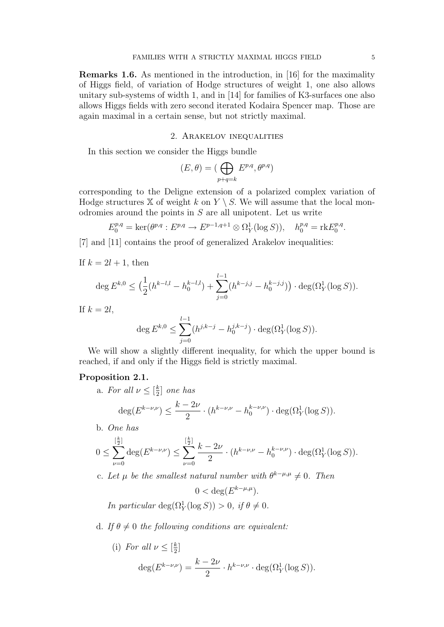Remarks 1.6. As mentioned in the introduction, in [16] for the maximality of Higgs field, of variation of Hodge structures of weight 1, one also allows unitary sub-systems of width 1, and in [14] for families of K3-surfaces one also allows Higgs fields with zero second iterated Kodaira Spencer map. Those are again maximal in a certain sense, but not strictly maximal.

## 2. Arakelov inequalities

In this section we consider the Higgs bundle

$$
(E, \theta) = (\bigoplus_{p+q=k} E^{p,q}, \theta^{p,q})
$$

corresponding to the Deligne extension of a polarized complex variation of Hodge structures X of weight k on  $Y \setminus S$ . We will assume that the local monodromies around the points in  $S$  are all unipotent. Let us write

$$
E_0^{p,q} = \ker(\theta^{p,q}: E^{p,q} \to E^{p-1,q+1} \otimes \Omega^1_Y(\log S)), \quad h_0^{p,q} = \text{rk} E_0^{p,q}.
$$

[7] and [11] contains the proof of generalized Arakelov inequalities:

If  $k = 2l + 1$ , then

$$
\deg E^{k,0} \le \left(\frac{1}{2}(h^{k-l,l}-h_0^{k-l,l})+\sum_{j=0}^{l-1}(h^{k-j,j}-h_0^{k-j,j})\right)\cdot \deg(\Omega_Y^1(\log S)).
$$

If  $k = 2l$ ,

$$
\deg E^{k,0} \le \sum_{j=0}^{l-1} (h^{j,k-j} - h_0^{j,k-j}) \cdot \deg(\Omega^1_Y(\log S)).
$$

We will show a slightly different inequality, for which the upper bound is reached, if and only if the Higgs field is strictly maximal.

### Proposition 2.1.

a. For all  $\nu \leq \lceil \frac{k}{2} \rceil$  $\frac{k}{2}$ ] one has

$$
\deg(E^{k-\nu,\nu}) \le \frac{k-2\nu}{2} \cdot (h^{k-\nu,\nu} - h_0^{k-\nu,\nu}) \cdot \deg(\Omega^1_Y(\log S)).
$$

b. One has

$$
0 \le \sum_{\nu=0}^{[\frac{k}{2}]} \deg(E^{k-\nu,\nu}) \le \sum_{\nu=0}^{[\frac{k}{2}]} \frac{k-2\nu}{2} \cdot (h^{k-\nu,\nu} - h_0^{k-\nu,\nu}) \cdot \deg(\Omega^1_Y(\log S)).
$$

c. Let  $\mu$  be the smallest natural number with  $\theta^{k-\mu,\mu} \neq 0$ . Then

$$
0 < \deg(E^{k-\mu,\mu}).
$$

In particular  $\deg(\Omega_Y^1(\log S)) > 0$ , if  $\theta \neq 0$ .

d. If  $\theta \neq 0$  the following conditions are equivalent:

(i) For all 
$$
\nu \leq [\frac{k}{2}]
$$
  
\n
$$
\deg(E^{k-\nu,\nu}) = \frac{k-2\nu}{2} \cdot h^{k-\nu,\nu} \cdot \deg(\Omega^1_Y(\log S)).
$$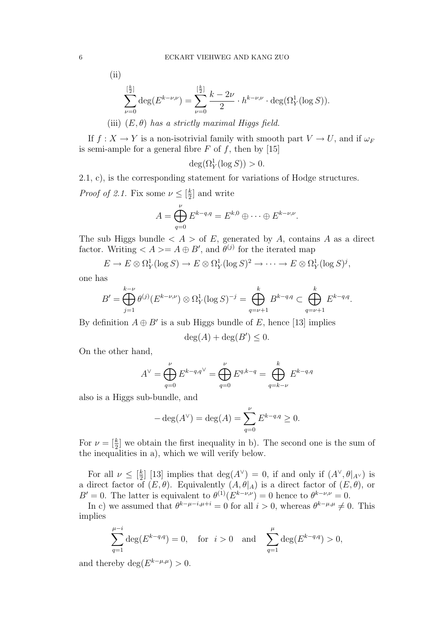$$
\rm(ii)
$$

$$
\sum_{\nu=0}^{\lfloor \frac{k}{2} \rfloor} \deg(E^{k-\nu,\nu}) = \sum_{\nu=0}^{\lfloor \frac{k}{2} \rfloor} \frac{k-2\nu}{2} \cdot h^{k-\nu,\nu} \cdot \deg(\Omega_Y^1(\log S)).
$$

(iii)  $(E, \theta)$  has a strictly maximal Higgs field.

If  $f: X \to Y$  is a non-isotrivial family with smooth part  $V \to U$ , and if  $\omega_F$ is semi-ample for a general fibre  $F$  of  $f$ , then by [15]

 $deg(\Omega_Y^1(\log S)) > 0.$ 

2.1, c), is the corresponding statement for variations of Hodge structures.

*Proof of 2.1.* Fix some  $\nu \leq \left[\frac{k}{2}\right]$  $\frac{k}{2}$  and write

$$
A = \bigoplus_{q=0}^{\nu} E^{k-q,q} = E^{k,0} \oplus \cdots \oplus E^{k-\nu,\nu}.
$$

The sub Higgs bundle  $\langle A \rangle$  of E, generated by A, contains A as a direct factor. Writing  $\langle A \rangle = A \oplus B'$ , and  $\theta^{(j)}$  for the iterated map

 $E \to E \otimes \Omega_Y^1(\log S) \to E \otimes \Omega_Y^1(\log S)^2 \to \cdots \to E \otimes \Omega_Y^1(\log S)^j,$ 

one has

$$
B' = \bigoplus_{j=1}^{k-\nu} \theta^{(j)}(E^{k-\nu,\nu}) \otimes \Omega^1_Y(\log S)^{-j} = \bigoplus_{q=\nu+1}^k B^{k-q,q} \subset \bigoplus_{q=\nu+1}^k E^{k-q,q}.
$$

By definition  $A \oplus B'$  is a sub Higgs bundle of E, hence [13] implies

$$
\deg(A) + \deg(B') \le 0.
$$

On the other hand,

$$
A^{\vee} = \bigoplus_{q=0}^{\nu} E^{k-q,q^{\vee}} = \bigoplus_{q=0}^{\nu} E^{q,k-q} = \bigoplus_{q=k-\nu}^{k} E^{k-q,q}
$$

also is a Higgs sub-bundle, and

$$
-\deg(A^{\vee}) = \deg(A) = \sum_{q=0}^{\nu} E^{k-q,q} \ge 0.
$$

For  $\nu = \left[\frac{k}{2}\right]$  we obtain the first inequality in b). The second one is the sum of the inequalities in a), which we will verify below.

For all  $\nu \leq \left[\frac{k}{2}\right]$  $\frac{k}{2}$  [13] implies that  $deg(A^{\vee}) = 0$ , if and only if  $(A^{\vee}, \theta|_{A^{\vee}})$  is a direct factor of  $(E, \theta)$ . Equivalently  $(A, \theta|_A)$  is a direct factor of  $(E, \theta)$ , or  $B' = 0$ . The latter is equivalent to  $\theta^{(1)}(E^{k-\nu,\nu}) = 0$  hence to  $\theta^{k-\nu,\nu} = 0$ .

In c) we assumed that  $\theta^{k-\mu-i,\mu+i} = 0$  for all  $i > 0$ , whereas  $\theta^{k-\mu,\mu} \neq 0$ . This implies

$$
\sum_{q=1}^{\mu-i} \deg(E^{k-q,q}) = 0, \text{ for } i > 0 \text{ and } \sum_{q=1}^{\mu} \deg(E^{k-q,q}) > 0,
$$

and thereby  $\deg(E^{k-\mu,\mu}) > 0$ .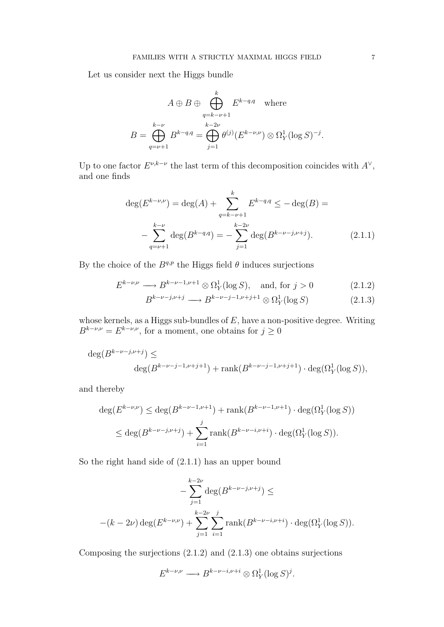Let us consider next the Higgs bundle

$$
A \oplus B \oplus \bigoplus_{q=k-\nu+1}^{k} E^{k-q,q} \quad \text{where}
$$

$$
B = \bigoplus_{q=\nu+1}^{k-\nu} B^{k-q,q} = \bigoplus_{j=1}^{k-2\nu} \theta^{(j)}(E^{k-\nu,\nu}) \otimes \Omega_Y^1(\log S)^{-j}.
$$

Up to one factor  $E^{\nu,k-\nu}$  the last term of this decomposition coincides with  $A^{\vee}$ , and one finds

$$
\deg(E^{k-\nu,\nu}) = \deg(A) + \sum_{q=k-\nu+1}^{k} E^{k-q,q} \le -\deg(B) =
$$
  

$$
-\sum_{q=\nu+1}^{k-\nu} \deg(B^{k-q,q}) = -\sum_{j=1}^{k-2\nu} \deg(B^{k-\nu-j,\nu+j}).
$$
 (2.1.1)

By the choice of the  $B^{q,p}$  the Higgs field  $\theta$  induces surjections

$$
E^{k-\nu,\nu} \longrightarrow B^{k-\nu-1,\nu+1} \otimes \Omega^1_Y(\log S), \quad \text{and, for } j > 0 \tag{2.1.2}
$$

$$
B^{k-\nu-j,\nu+j} \longrightarrow B^{k-\nu-j-1,\nu+j+1} \otimes \Omega^1_Y(\log S) \tag{2.1.3}
$$

whose kernels, as a Higgs sub-bundles of  $E$ , have a non-positive degree. Writing  $B^{k-\nu,\nu} = E^{k-\nu,\nu}$ , for a moment, one obtains for  $j \geq 0$ 

$$
\deg(B^{k-\nu-j,\nu+j}) \le
$$
  
 
$$
\deg(B^{k-\nu-j-1,\nu+j+1}) + \operatorname{rank}(B^{k-\nu-j-1,\nu+j+1}) \cdot \deg(\Omega^1_Y(\log S)),
$$

and thereby

$$
\deg(E^{k-\nu,\nu}) \le \deg(B^{k-\nu-1,\nu+1}) + \operatorname{rank}(B^{k-\nu-1,\nu+1}) \cdot \deg(\Omega_Y^1(\log S))
$$
  

$$
\le \deg(B^{k-\nu-j,\nu+j}) + \sum_{i=1}^j \operatorname{rank}(B^{k-\nu-i,\nu+i}) \cdot \deg(\Omega_Y^1(\log S)).
$$

So the right hand side of (2.1.1) has an upper bound

$$
-\sum_{j=1}^{k-2\nu} \deg(B^{k-\nu-j,\nu+j}) \le
$$
  
 
$$
-(k-2\nu)\deg(E^{k-\nu,\nu}) + \sum_{j=1}^{k-2\nu} \sum_{i=1}^{j} \text{rank}(B^{k-\nu-i,\nu+i}) \cdot \deg(\Omega_Y^1(\log S)).
$$

Composing the surjections  $(2.1.2)$  and  $(2.1.3)$  one obtains surjections

$$
E^{k-\nu,\nu} \longrightarrow B^{k-\nu-i,\nu+i} \otimes \Omega^1_Y(\log S)^j.
$$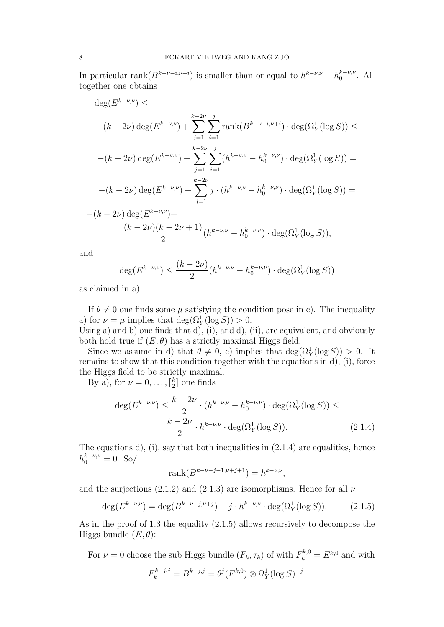In particular rank $(B^{k-\nu-i,\nu+i})$  is smaller than or equal to  $h^{k-\nu,\nu} - h_0^{k-\nu,\nu}$  $_{0}^{\kappa-\nu,\nu}$ . Altogether one obtains

$$
\deg(E^{k-\nu,\nu}) \le
$$
  
 
$$
-(k-2\nu)\deg(E^{k-\nu,\nu}) + \sum_{j=1}^{k-2\nu} \sum_{i=1}^{j} \text{rank}(B^{k-\nu-i,\nu+i}) \cdot \deg(\Omega_Y^1(\log S)) \le
$$
  
 
$$
-(k-2\nu)\deg(E^{k-\nu,\nu}) + \sum_{j=1}^{k-2\nu} \sum_{i=1}^{j} (h^{k-\nu,\nu} - h_0^{k-\nu,\nu}) \cdot \deg(\Omega_Y^1(\log S)) =
$$
  
 
$$
-(k-2\nu)\deg(E^{k-\nu,\nu}) + \sum_{j=1}^{k-2\nu} j \cdot (h^{k-\nu,\nu} - h_0^{k-\nu,\nu}) \cdot \deg(\Omega_Y^1(\log S)) =
$$
  
 
$$
-(k-2\nu)\deg(E^{k-\nu,\nu}) + \frac{(k-2\nu)(k-2\nu+1)}{2}(h^{k-\nu,\nu} - h_0^{k-\nu,\nu}) \cdot \deg(\Omega_Y^1(\log S)),
$$

and

$$
\deg(E^{k-\nu,\nu}) \le \frac{(k-2\nu)}{2} (h^{k-\nu,\nu} - h_0^{k-\nu,\nu}) \cdot \deg(\Omega^1_Y(\log S))
$$

as claimed in a).

If  $\theta \neq 0$  one finds some  $\mu$  satisfying the condition pose in c). The inequality a) for  $\nu = \mu$  implies that  $\deg(\Omega_Y^1(\log S)) > 0$ .

Using a) and b) one finds that d), (i), and d), (ii), are equivalent, and obviously both hold true if  $(E, \theta)$  has a strictly maximal Higgs field.

Since we assume in d) that  $\theta \neq 0$ , c) implies that  $\deg(\Omega_Y^1(\log S)) > 0$ . It remains to show that this condition together with the equations in d), (i), force the Higgs field to be strictly maximal.

By a), for  $\nu = 0, \ldots, \left[\frac{k}{2}\right]$  $\frac{k}{2}$  one finds

$$
\deg(E^{k-\nu,\nu}) \le \frac{k-2\nu}{2} \cdot (h^{k-\nu,\nu} - h_0^{k-\nu,\nu}) \cdot \deg(\Omega_Y^1(\log S)) \le
$$

$$
\frac{k-2\nu}{2} \cdot h^{k-\nu,\nu} \cdot \deg(\Omega_Y^1(\log S)). \tag{2.1.4}
$$

The equations  $d$ ,  $(i)$ , say that both inequalities in  $(2.1.4)$  are equalities, hence  $h_0^{k-\nu,\nu} = 0.$  So/

$$
rank(B^{k-\nu-j-1,\nu+j+1}) = h^{k-\nu,\nu},
$$

and the surjections (2.1.2) and (2.1.3) are isomorphisms. Hence for all  $\nu$ 

$$
\deg(E^{k-\nu,\nu}) = \deg(B^{k-\nu-j,\nu+j}) + j \cdot h^{k-\nu,\nu} \cdot \deg(\Omega^1_Y(\log S)). \tag{2.1.5}
$$

As in the proof of 1.3 the equality (2.1.5) allows recursively to decompose the Higgs bundle  $(E, \theta)$ :

For  $\nu = 0$  choose the sub Higgs bundle  $(F_k, \tau_k)$  of with  $F_k^{k,0} = E^{k,0}$  and with

$$
F_k^{k-j,j} = B^{k-j,j} = \theta^j(E^{k,0}) \otimes \Omega^1_Y(\log S)^{-j}.
$$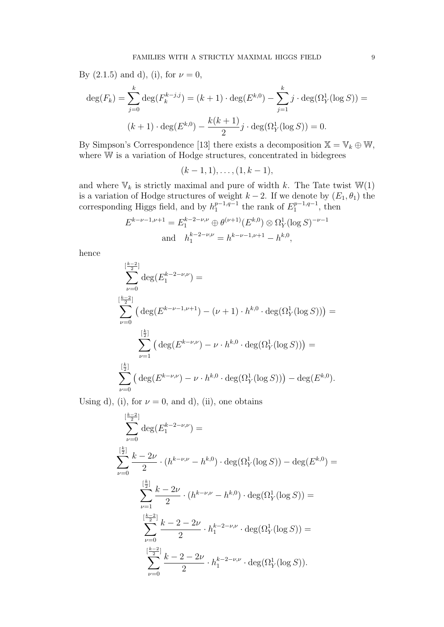By  $(2.1.5)$  and d), (i), for  $\nu = 0$ ,

$$
\deg(F_k) = \sum_{j=0}^k \deg(F_k^{k-j,j}) = (k+1) \cdot \deg(E^{k,0}) - \sum_{j=1}^k j \cdot \deg(\Omega_Y^1(\log S)) =
$$
  

$$
(k+1) \cdot \deg(E^{k,0}) - \frac{k(k+1)}{2}j \cdot \deg(\Omega_Y^1(\log S)) = 0.
$$

By Simpson's Correspondence [13] there exists a decomposition  $X = V_k \oplus W$ , where W is a variation of Hodge structures, concentrated in bidegrees

$$
(k-1,1), \ldots, (1, k-1),
$$

and where  $\mathbb{V}_k$  is strictly maximal and pure of width  $k.$  The Tate twist  $\mathbb{W}(1)$ is a variation of Hodge structures of weight  $k-2$ . If we denote by  $(E_1, \theta_1)$  the corresponding Higgs field, and by  $h_1^{p-1,q-1}$  $_{1}^{p-1,q-1}$  the rank of  $E_1^{p-1,q-1}$  $t_1^{p-1,q-1}$ , then

$$
E^{k-\nu-1,\nu+1} = E_1^{k-2-\nu,\nu} \oplus \theta^{(\nu+1)}(E^{k,0}) \otimes \Omega_Y^1(\log S)^{-\nu-1}
$$
  
and 
$$
h_1^{k-2-\nu,\nu} = h^{k-\nu-1,\nu+1} - h^{k,0},
$$

hence

$$
\sum_{\nu=0}^{\lfloor \frac{k-2}{2} \rfloor} \deg(E_1^{k-2-\nu,\nu}) =
$$
\n
$$
\sum_{\nu=0}^{\lfloor \frac{k-2}{2} \rfloor} \left( \deg(E^{k-\nu-1,\nu+1}) - (\nu+1) \cdot h^{k,0} \cdot \deg(\Omega_Y^1(\log S)) \right) =
$$
\n
$$
\sum_{\nu=1}^{\lfloor \frac{k}{2} \rfloor} \left( \deg(E^{k-\nu,\nu}) - \nu \cdot h^{k,0} \cdot \deg(\Omega_Y^1(\log S)) \right) =
$$
\n
$$
\sum_{\nu=0}^{\lfloor \frac{k}{2} \rfloor} \left( \deg(E^{k-\nu,\nu}) - \nu \cdot h^{k,0} \cdot \deg(\Omega_Y^1(\log S)) \right) - \deg(E^{k,0}).
$$

Using d), (i), for  $\nu = 0$ , and d), (ii), one obtains

$$
\sum_{\nu=0}^{\lfloor \frac{k}{2} \rfloor} \deg(E_1^{k-2-\nu,\nu}) =
$$
\n
$$
\sum_{\nu=0}^{\lfloor \frac{k}{2} \rfloor} \frac{k-2\nu}{2} \cdot (h^{k-\nu,\nu} - h^{k,0}) \cdot \deg(\Omega_Y^1(\log S)) - \deg(E^{k,0}) =
$$
\n
$$
\sum_{\nu=1}^{\lfloor \frac{k}{2} \rfloor} \frac{k-2\nu}{2} \cdot (h^{k-\nu,\nu} - h^{k,0}) \cdot \deg(\Omega_Y^1(\log S)) =
$$
\n
$$
\sum_{\nu=0}^{\lfloor \frac{k-2}{2} \rfloor} \frac{k-2-2\nu}{2} \cdot h_1^{k-2-\nu,\nu} \cdot \deg(\Omega_Y^1(\log S)) =
$$
\n
$$
\sum_{\nu=0}^{\lfloor \frac{k-2}{2} \rfloor} \frac{k-2-2\nu}{2} \cdot h_1^{k-2-\nu,\nu} \cdot \deg(\Omega_Y^1(\log S)).
$$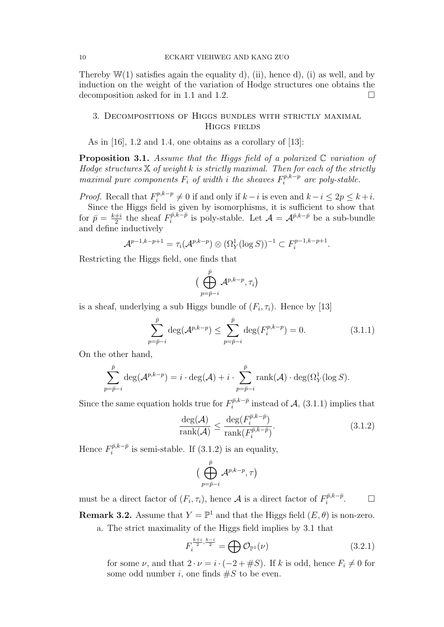Thereby  $\mathbb{W}(1)$  satisfies again the equality d), (ii), hence d), (i) as well, and by induction on the weight of the variation of Hodge structures one obtains the decomposition asked for in 1.1 and 1.2.  $\Box$ 

## 3. Decompositions of Higgs bundles with strictly maximal Higgs fields

As in [16], 1.2 and 1.4, one obtains as a corollary of [13]:

**Proposition 3.1.** Assume that the Higgs field of a polarized  $\mathbb C$  variation of Hodge structures  $X$  of weight k is strictly maximal. Then for each of the strictly maximal pure components  $F_i$  of width i the sheaves  $F_i^{p,k-p}$  $i^{p,\kappa-p}$  are poly-stable.

*Proof.* Recall that  $F_i^{p,k-p}$  $i^{p,k-p}$  ≠ 0 if and only if  $k-i$  is even and  $k-i \leq 2p \leq k+i$ . Since the Higgs field is given by isomorphisms, it is sufficient to show that for  $\bar{p} = \frac{k+i}{2}$  $\frac{+i}{2}$  the sheaf  $F_i^{\bar{p},k-\bar{p}}$  $i^{\bar{p},k-\bar{p}}$  is poly-stable. Let  $\mathcal{A} = \mathcal{A}^{\bar{p},k-\bar{p}}$  be a sub-bundle and define inductively

$$
\mathcal{A}^{p-1,k-p+1} = \tau_i(\mathcal{A}^{p,k-p}) \otimes (\Omega^1_Y(\log S))^{-1} \subset F_i^{p-1,k-p+1}.
$$

Restricting the Higgs field, one finds that

$$
\big(\bigoplus_{p=\bar{p}-i}^{\bar{p}}\mathcal{A}^{p,k-p},\tau_i\big)
$$

is a sheaf, underlying a sub Higgs bundle of  $(F_i, \tau_i)$ . Hence by [13]

$$
\sum_{p=\bar{p}-i}^{\bar{p}} \deg(\mathcal{A}^{p,k-p}) \le \sum_{p=\bar{p}-i}^{\bar{p}} \deg(F_i^{p,k-p}) = 0.
$$
 (3.1.1)

On the other hand,

$$
\sum_{p=\bar{p}-i}^{\bar{p}} \deg(\mathcal{A}^{p,k-p}) = i \cdot \deg(\mathcal{A}) + i \cdot \sum_{p=\bar{p}-i}^{\bar{p}} \text{rank}(\mathcal{A}) \cdot \deg(\Omega_Y^1(\log S)).
$$

Since the same equation holds true for  $F_i^{\bar{p},k-\bar{p}}$  $i^{p,k-p}$  instead of  $A$ , (3.1.1) implies that

$$
\frac{\deg(\mathcal{A})}{\text{rank}(\mathcal{A})} \le \frac{\deg(F_i^{\bar{p}, k - \bar{p}})}{\text{rank}(F_i^{\bar{p}, k - \bar{p}})}.
$$
\n(3.1.2)

Hence  $F_i^{\bar{p},k-\bar{p}}$  $i^{p,k-p}$  is semi-stable. If  $(3.1.2)$  is an equality,

$$
\big(\bigoplus_{p=\bar{p}-i}^{\bar{p}}\mathcal{A}^{p,k-p},\tau\big)
$$

must be a direct factor of  $(F_i, \tau_i)$ , hence A is a direct factor of  $F_i^{\bar{p}, k-\bar{p}}$ i  $\Box$ **Remark 3.2.** Assume that  $Y = \mathbb{P}^1$  and that the Higgs field  $(E, \theta)$  is non-zero. a. The strict maximality of the Higgs field implies by 3.1 that

 $F_i^{\frac{k+i}{2}, \frac{k-i}{2}} = \bigoplus \mathcal{O}_{\mathbb{P}^1}(\nu)$  (3.2.1)

for some  $\nu$ , and that  $2 \cdot \nu = i \cdot (-2 + \# S)$ . If k is odd, hence  $F_i \neq 0$  for some odd number i, one finds  $\#S$  to be even.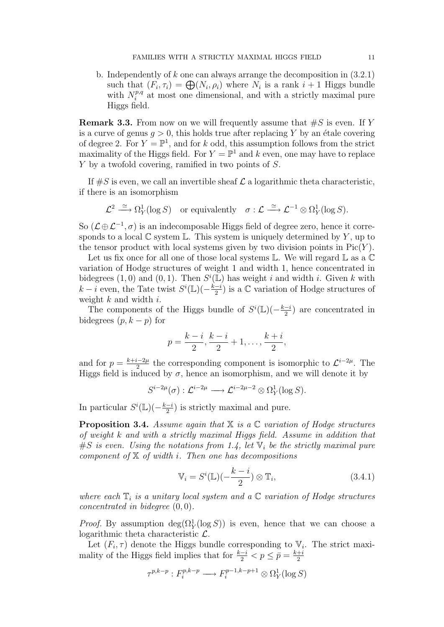b. Independently of k one can always arrange the decomposition in (3.2.1) such that  $(F_i, \tau_i) = \bigoplus (N_i, \rho_i)$  where  $N_i$  is a rank  $i + 1$  Higgs bundle with  $N_i^{p,q}$  $i^{p,q}$  at most one dimensional, and with a strictly maximal pure Higgs field.

**Remark 3.3.** From now on we will frequently assume that  $#S$  is even. If Y is a curve of genus  $q > 0$ , this holds true after replacing Y by an étale covering of degree 2. For  $Y = \mathbb{P}^1$ , and for k odd, this assumption follows from the strict maximality of the Higgs field. For  $Y = \mathbb{P}^1$  and k even, one may have to replace Y by a twofold covering, ramified in two points of S.

If  $\#S$  is even, we call an invertible sheaf  $\mathcal L$  a logarithmic theta characteristic, if there is an isomorphism

$$
\mathcal{L}^2 \stackrel{\simeq}{\longrightarrow} \Omega^1_Y(\log S) \quad \text{or equivalently} \quad \sigma : \mathcal{L} \stackrel{\simeq}{\longrightarrow} \mathcal{L}^{-1} \otimes \Omega^1_Y(\log S).
$$

So  $(\mathcal{L} \oplus \mathcal{L}^{-1}, \sigma)$  is an indecomposable Higgs field of degree zero, hence it corresponds to a local  $\mathbb C$  system  $\mathbb L$ . This system is uniquely determined by Y, up to the tensor product with local systems given by two division points in  $Pic(Y)$ .

Let us fix once for all one of those local systems  $\mathbb L$ . We will regard  $\mathbb L$  as a  $\mathbb C$ variation of Hodge structures of weight 1 and width 1, hence concentrated in bidegrees (1,0) and (0,1). Then  $S^i(\mathbb{L})$  has weight i and width i. Given k with  $k-i$  even, the Tate twist  $S^i(\mathbb{L})(-\frac{k-i}{2})$  $\frac{-i}{2}$ ) is a  $\mathbb C$  variation of Hodge structures of weight  $k$  and width  $i$ .

The components of the Higgs bundle of  $S^{i}(\mathbb{L})(-\frac{k-i}{2})$  $\frac{-i}{2}$  are concentrated in bidegrees  $(p, k - p)$  for

$$
p = \frac{k-i}{2}, \frac{k-i}{2} + 1, \dots, \frac{k+i}{2},
$$

and for  $p = \frac{k+i-2\mu}{2}$  $\frac{1}{2}$  the corresponding component is isomorphic to  $\mathcal{L}^{i-2\mu}$ . The Higgs field is induced by  $\sigma$ , hence an isomorphism, and we will denote it by

$$
S^{i-2\mu}(\sigma) : \mathcal{L}^{i-2\mu} \longrightarrow \mathcal{L}^{i-2\mu-2} \otimes \Omega^1_Y(\log S).
$$

In particular  $S^i(\mathbb{L})\left(-\frac{k-i}{2}\right)$  $\frac{-i}{2}$ ) is strictly maximal and pure.

**Proposition 3.4.** Assume again that  $X$  is a  $C$  variation of Hodge structures of weight k and with a strictly maximal Higgs field. Assume in addition that  $\#S$  is even. Using the notations from 1.4, let  $\mathbb{V}_i$  be the strictly maximal pure component of  $X$  of width i. Then one has decompositions

$$
\mathbb{V}_i = S^i(\mathbb{L})(-\frac{k-i}{2}) \otimes \mathbb{T}_i, \tag{3.4.1}
$$

where each  $\mathbb{T}_i$  is a unitary local system and a  $\mathbb{C}$  variation of Hodge structures *concentrated in bidegree*  $(0, 0)$ .

*Proof.* By assumption  $deg(\Omega_Y^1(\log S))$  is even, hence that we can choose a logarithmic theta characteristic L.

Let  $(F_i, \tau)$  denote the Higgs bundle corresponding to  $V_i$ . The strict maximality of the Higgs field implies that for  $\frac{k-i}{2} < p \le \bar{p} = \frac{k+i}{2}$ 2

$$
\tau^{p,k-p}: F_i^{p,k-p} \longrightarrow F_i^{p-1,k-p+1} \otimes \Omega^1_Y(\log S)
$$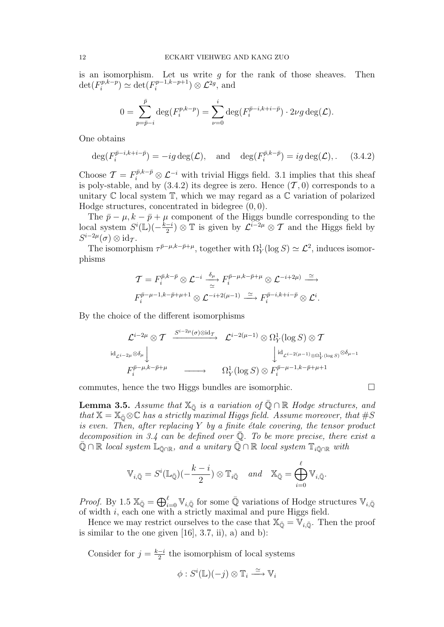is an isomorphism. Let us write  $g$  for the rank of those sheaves. Then  $\det(F_i^{p,k-p})$  $\det_i(F_i^{p-1,k-p+1}) \simeq \det(F_i^{p-1,k-p+1})$  $\mathcal{L}^{p-1,k-p+1}$   $\otimes \mathcal{L}^{2g}$ , and

$$
0 = \sum_{p=\bar{p}-i}^{\bar{p}} \deg(F_i^{p,k-p}) = \sum_{\nu=0}^i \deg(F_i^{\bar{p}-i,k+i-\bar{p}}) \cdot 2\nu g \deg(\mathcal{L}).
$$

One obtains

$$
\deg(F_i^{\bar{p}-i,k+i-\bar{p}}) = -ig \deg(\mathcal{L}), \text{ and } \deg(F_i^{\bar{p},k-\bar{p}}) = ig \deg(\mathcal{L}), \quad (3.4.2)
$$

Choose  $\mathcal{T} = F_i^{\bar{p}, k-\bar{p}} \otimes \mathcal{L}^{-i}$  with trivial Higgs field. 3.1 implies that this sheaf is poly-stable, and by  $(3.4.2)$  its degree is zero. Hence  $(\mathcal{T}, 0)$  corresponds to a unitary  $\mathbb C$  local system  $\mathbb T$ , which we may regard as a  $\mathbb C$  variation of polarized Hodge structures, concentrated in bidegree (0, 0).

The  $\bar{p} - \mu$ ,  $k - \bar{p} + \mu$  component of the Higgs bundle corresponding to the local system  $S^i(\mathbb{L})\left(-\frac{k-i}{2}\right)$  $\frac{-i}{2}$ ) ⊗ T is given by  $\mathcal{L}^{i-2\mu}$  ⊗ T and the Higgs field by  $S^{i-2\mu}(\sigma) \otimes \mathrm{id}_{\mathcal{T}}$ .

The isomorphism  $\tau^{\bar{p}-\mu,k-\bar{p}+\mu}$ , together with  $\Omega_Y^1(\log S) \simeq \mathcal{L}^2$ , induces isomorphisms

$$
\mathcal{T} = F_i^{\bar{p},k-\bar{p}} \otimes \mathcal{L}^{-i} \xrightarrow[\simeq]{\delta_{\mu}} F_i^{\bar{p}-\mu,k-\bar{p}+\mu} \otimes \mathcal{L}^{-i+2\mu)} \xrightarrow[\simeq]{\simeq}
$$
  

$$
F_i^{\bar{p}-\mu-1,k-\bar{p}+\mu+1} \otimes \mathcal{L}^{-i+2(\mu-1)} \xrightarrow[\simeq]{\simeq} F_i^{\bar{p}-i,k+i-\bar{p}} \otimes \mathcal{L}^i.
$$

By the choice of the different isomorphisms

$$
\mathcal{L}^{i-2\mu} \otimes \mathcal{T} \xrightarrow{S^{i-2\mu}(\sigma) \otimes id_{\mathcal{T}}} \mathcal{L}^{i-2(\mu-1)} \otimes \Omega^1_Y(\log S) \otimes \mathcal{T} \downarrow \text{Id}_{\mathcal{L}^{i-2\mu} \otimes \delta_{\mu}} \downarrow \qquad \qquad \downarrow \text{Id}_{\mathcal{L}^{i-2(\mu-1)} \otimes \Omega^1_Y(\log S)} \otimes \delta_{\mu-1}
$$
\n
$$
F_i^{\bar{p}-\mu,k-\bar{p}+\mu} \xrightarrow{\qquad \qquad } \Omega^1_Y(\log S) \otimes F_i^{\bar{p}-\mu-1,k-\bar{p}+\mu+1}
$$

commutes, hence the two Higgs bundles are isomorphic.

**Lemma 3.5.** Assume that  $\mathbb{X}_{\bar{Q}}$  is a variation of  $\bar{Q} \cap \mathbb{R}$  Hodge structures, and that  $X = X_{\bar{Q}} \otimes \mathbb{C}$  has a strictly maximal Higgs field. Assume moreover, that  $\#S$ is even. Then, after replacing  $Y$  by a finite étale covering, the tensor product decomposition in 3.4 can be defined over  $\overline{Q}$ . To be more precise, there exist a  $\mathbb{Q} \cap \mathbb{R}$  local system  $\mathbb{L}_{\bar{\mathbb{Q}} \cap \mathbb{R}}$ , and a unitary  $\mathbb{Q} \cap \mathbb{R}$  local system  $\mathbb{T}_{i\bar{\mathbb{Q}} \cap \mathbb{R}}$  with

$$
\mathbb{V}_{i,\bar{\mathbb{Q}}} = S^{i}(\mathbb{L}_{\bar{\mathbb{Q}}})(-\frac{k-i}{2}) \otimes \mathbb{T}_{i\bar{\mathbb{Q}}} \quad and \quad \mathbb{X}_{\bar{\mathbb{Q}}} = \bigoplus_{i=0}^{\ell} \mathbb{V}_{i,\bar{\mathbb{Q}}}.
$$

*Proof.* By 1.5  $\mathbb{X}_{\bar{\mathbb{Q}}} = \bigoplus_{i=0}^{\ell} \mathbb{V}_{i,\bar{\mathbb{Q}}}$  for some  $\bar{\mathbb{Q}}$  variations of Hodge structures  $\mathbb{V}_{i,\bar{\mathbb{Q}}}$ of width  $i$ , each one with a strictly maximal and pure Higgs field.

Hence we may restrict ourselves to the case that  $\mathbb{X}_{\bar{\mathbb{Q}}} = \mathbb{V}_{i,\bar{\mathbb{Q}}}$ . Then the proof is similar to the one given  $[16]$ , 3.7, ii), a) and b):

Consider for  $j = \frac{k-i}{2}$  $\frac{-i}{2}$  the isomorphism of local systems

$$
\phi: S^i(\mathbb{L})(-j) \otimes \mathbb{T}_i \xrightarrow{\simeq} \mathbb{V}_i
$$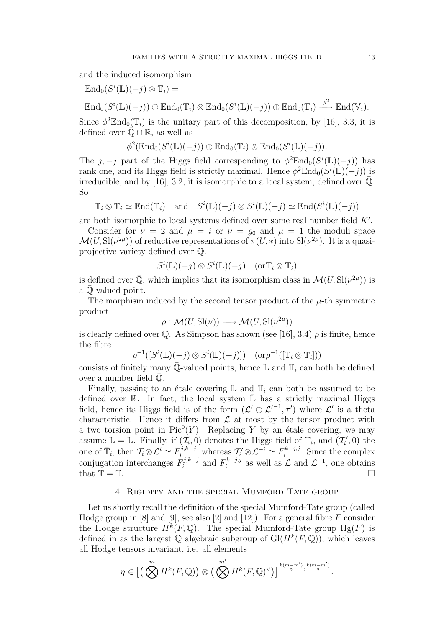and the induced isomorphism

$$
\operatorname{End}_0(S^i(\mathbb{L})(-j) \otimes \mathbb{T}_i) =
$$

 $\operatorname{End}_0(S^i(\mathbb{L})(-j)) \oplus \operatorname{End}_0(\mathbb{T}_i) \otimes \operatorname{End}_0(S^i(\mathbb{L})(-j)) \oplus \operatorname{End}_0(\mathbb{T}_i) \stackrel{\phi^2}{\longrightarrow} \operatorname{End}(\mathbb{V}_i).$ 

Since  $\phi^2 \mathbb{E} \text{nd}_0(\mathbb{T}_i)$  is the unitary part of this decomposition, by [16], 3.3, it is defined over  $\mathbb{Q} \cap \mathbb{R}$ , as well as

$$
\phi^2(\mathbb{E} \mathrm{nd}_0(S^i(\mathbb{L})(-j)) \oplus \mathbb{E} \mathrm{nd}_0(\mathbb{T}_i) \otimes \mathbb{E} \mathrm{nd}_0(S^i(\mathbb{L})(-j)).
$$

The j, -j part of the Higgs field corresponding to  $\phi^2 \text{End}_0(S^i(\mathbb{L})(-j))$  has rank one, and its Higgs field is strictly maximal. Hence  $\phi^2 \text{End}_0(S^i(\mathbb{L})(-j))$  is irreducible, and by [16], 3.2, it is isomorphic to a local system, defined over  $\mathbb{Q}$ . So

$$
\mathbb{T}_i \otimes \mathbb{T}_i \simeq \text{End}(\mathbb{T}_i) \text{ and } S^i(\mathbb{L})(-j) \otimes S^i(\mathbb{L})(-j) \simeq \text{End}(S^i(\mathbb{L})(-j))
$$

are both isomorphic to local systems defined over some real number field  $K'$ .

Consider for  $\nu = 2$  and  $\mu = i$  or  $\nu = g_0$  and  $\mu = 1$  the moduli space  $\mathcal{M}(U, \mathrm{SI}(\nu^{2\mu}))$  of reductive representations of  $\pi(U, *)$  into  $\mathrm{SI}(\nu^{2\mu})$ . It is a quasiprojective variety defined over Q.

$$
S^i(\mathbb{L})(-j) \otimes S^i(\mathbb{L})(-j) \quad (\text{or} \mathbb{T}_i \otimes \mathbb{T}_i)
$$

is defined over  $\overline{Q}$ , which implies that its isomorphism class in  $\mathcal{M}(U, \mathrm{Sl}(\nu^{2\mu}))$  is a  $\mathbb O$  valued point.

The morphism induced by the second tensor product of the  $\mu$ -th symmetric product

$$
\rho: \mathcal{M}(U, \mathrm{Sl}(\nu)) \longrightarrow \mathcal{M}(U, \mathrm{Sl}(\nu^{2\mu}))
$$

is clearly defined over  $\mathbb{Q}$ . As Simpson has shown (see [16], 3.4)  $\rho$  is finite, hence the fibre

$$
\rho^{-1}([S^i(\mathbb{L})(-j) \otimes S^i(\mathbb{L})(-j)]) \quad (\text{or } \rho^{-1}([\mathbb{T}_i \otimes \mathbb{T}_i]))
$$

consists of finitely many  $\overline{\mathbb{Q}}$ -valued points, hence L and  $\mathbb{T}_i$  can both be defined over a number field  $\mathbb{Q}$ .

Finally, passing to an étale covering  $\mathbb L$  and  $\mathbb T_i$  can both be assumed to be defined over R. In fact, the local system  $\overline{L}$  has a strictly maximal Higgs field, hence its Higgs field is of the form  $(\mathcal{L}' \oplus \mathcal{L}'^{-1}, \tau')$  where  $\mathcal{L}'$  is a theta characteristic. Hence it differs from  $\mathcal L$  at most by the tensor product with a two torsion point in  $Pic^0(Y)$ . Replacing Y by an étale covering, we may assume  $\mathbb{L} = \overline{\mathbb{L}}$ . Finally, if  $(\overline{\mathcal{I}_i}, 0)$  denotes the Higgs field of  $\mathbb{T}_i$ , and  $(\overline{\mathcal{I}'_i}, 0)$  the one of  $\bar{\mathbb{T}}_i$ , then  $\mathcal{T}_i \otimes \mathcal{L}^i \simeq F_i^{j,k-j}$  $\mathcal{I}_i^{j,k-j}$ , whereas  $\mathcal{T}'_i \otimes \mathcal{L}^{-i} \simeq F_i^{k-j,j}$  $i^{k-j,j}$ . Since the complex conjugation interchanges  $F_i^{j,k-j}$  $\mathbf{F}_i^{j,k-j}$  and  $F_i^{k-j,j}$  $\mathcal{L}^{k-j,j}_{i}$  as well as  $\mathcal{L}$  and  $\mathcal{L}^{-1}$ , one obtains that  $\overline{\mathbb{T}} = \mathbb{T}$ .

### 4. Rigidity and the special Mumford Tate group

Let us shortly recall the definition of the special Mumford-Tate group (called Hodge group in  $[8]$  and  $[9]$ , see also  $[2]$  and  $[12]$ ). For a general fibre F consider the Hodge structure  $H^k(F, \mathbb{Q})$ . The special Mumford-Tate group  $Hg(F)$  is defined in as the largest  $\mathbb Q$  algebraic subgroup of  $\mathrm{Gl}(H^k(F,\mathbb Q))$ , which leaves all Hodge tensors invariant, i.e. all elements

$$
\eta \in \left[ \left( \bigotimes^m H^k(F, \mathbb{Q}) \right) \otimes \left( \bigotimes^{m'} H^k(F, \mathbb{Q})^{\vee} \right) \right]^{\frac{k(m-m')}{2}, \frac{k(m-m')}{2}}.
$$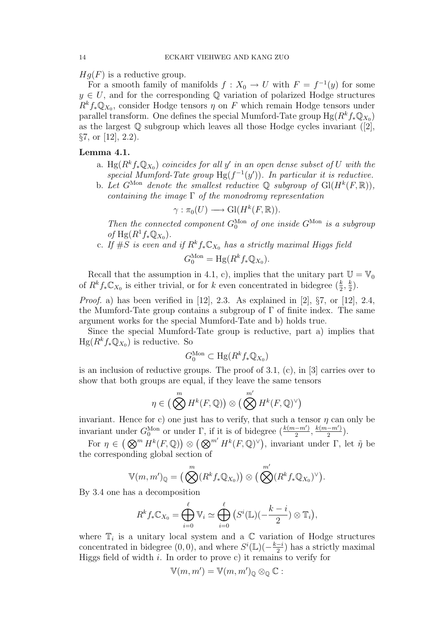$Hg(F)$  is a reductive group.

For a smooth family of manifolds  $f: X_0 \to U$  with  $F = f^{-1}(y)$  for some  $y \in U$ , and for the corresponding Q variation of polarized Hodge structures  $R^k f_* \mathbb{Q}_{X_0}$ , consider Hodge tensors  $\eta$  on F which remain Hodge tensors under parallel transform. One defines the special Mumford-Tate group  $Hg(R^kf_*\mathbb{Q}_{X_0})$ as the largest  $\mathbb Q$  subgroup which leaves all those Hodge cycles invariant ([2],  $\S7$ , or [12], 2.2).

## Lemma 4.1.

- a. Hg $(R<sup>k</sup>f_*\mathbb{Q}_{X_0})$  coincides for all y' in an open dense subset of U with the special Mumford-Tate group  $Hg(f^{-1}(y'))$ . In particular it is reductive.
- b. Let  $G^{\text{Mon}}$  denote the smallest reductive  $\mathbb Q$  subgroup of  $\text{Gl}(H^k(F,\mathbb R)),$ containing the image  $\Gamma$  of the monodromy representation

$$
\gamma: \pi_0(U) \longrightarrow Gl(H^k(F, \mathbb{R})).
$$

Then the connected component  $G_0^{\text{Mon}}$  of one inside  $G^{\text{Mon}}$  is a subgroup of  $Hg(R^1f_*\mathbb{Q}_{X_0})$ .

c. If  $\#S$  is even and if  $R^kf_*\mathbb{C}_{X_0}$  has a strictly maximal Higgs field

$$
G_0^{\text{Mon}} = \text{Hg}(R^k f_* \mathbb{Q}_{X_0}).
$$

Recall that the assumption in 4.1, c), implies that the unitary part  $\mathbb{U} = \mathbb{V}_0$ of  $R^k f_* \mathbb{C}_{X_0}$  is either trivial, or for k even concentrated in bidegree  $(\frac{k}{2}, \frac{k}{2})$  $\frac{k}{2}$ .

*Proof.* a) has been verified in [12], 2.3. As explained in [2],  $\S7$ , or [12], 2.4, the Mumford-Tate group contains a subgroup of  $\Gamma$  of finite index. The same argument works for the special Mumford-Tate and b) holds true.

Since the special Mumford-Tate group is reductive, part a) implies that  $Hg(R^k f_* \mathbb{Q}_{X_0})$  is reductive. So

$$
G_0^{\text{Mon}} \subset \text{Hg}(R^k f_* \mathbb{Q}_{X_0})
$$

is an inclusion of reductive groups. The proof of 3.1, (c), in [3] carries over to show that both groups are equal, if they leave the same tensors

$$
\eta \in \left( \bigotimes^m H^k(F, \mathbb{Q}) \right) \otimes \left( \bigotimes^{m'} H^k(F, \mathbb{Q})^{\vee} \right)
$$

invariant. Hence for c) one just has to verify, that such a tensor  $\eta$  can only be invariant under  $G_0^{\text{Mon}}$  or under  $\Gamma$ , if it is of bidegree  $(\frac{k(m-m')}{2})$  $\frac{(m-m')}{2}, \frac{k(m-m')}{2}$  $\frac{(-m')}{2}$ ).

For  $\eta \in (\mathbb{Q}^m H^k(F, \mathbb{Q})) \otimes (\mathbb{Q}^{m'} H^k(F, \mathbb{Q})^{\vee}),$  invariant under  $\Gamma$ , let  $\tilde{\eta}$  be the corresponding global section of

$$
\mathbb{V}(m,m')_{\mathbb{Q}} = \big(\bigotimes^{m} (R^{k} f_{*} \mathbb{Q}_{X_{0}})\big) \otimes \big(\bigotimes^{m'} (R^{k} f_{*} \mathbb{Q}_{X_{0}})^{\vee} \big).
$$

By 3.4 one has a decomposition

$$
R^k f_* \mathbb{C}_{X_0} = \bigoplus_{i=0}^{\ell} \mathbb{V}_i \simeq \bigoplus_{i=0}^{\ell} \left( S^i(\mathbb{L}) \left( -\frac{k-i}{2} \right) \otimes \mathbb{T}_i \right),
$$

where  $\mathbb{T}_i$  is a unitary local system and a  $\mathbb{C}$  variation of Hodge structures concentrated in bidegree  $(0,0)$ , and where  $S^{i}(\mathbb{L})(-\frac{k-i}{2})$  $\frac{-i}{2}$ ) has a strictly maximal Higgs field of width  $i$ . In order to prove c) it remains to verify for

$$
\mathbb{V}(m,m')=\mathbb{V}(m,m')_{\mathbb{Q}}\otimes_{\mathbb{Q}}\mathbb{C}:
$$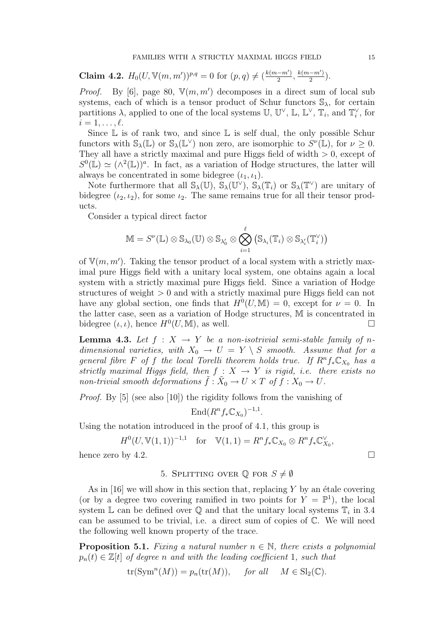Claim 4.2.  $H_0(U, \mathbb{V}(m, m'))^{p,q} = 0$  for  $(p, q) \neq (\frac{k(m-m')}{2})$  $\frac{(m-m')}{2}, \frac{k(m-m')}{2}$  $\frac{(-m)}{2}$ ).

*Proof.* By [6], page 80,  $V(m, m')$  decomposes in a direct sum of local sub systems, each of which is a tensor product of Schur functors  $\mathcal{S}_{\lambda}$ , for certain partitions  $\lambda$ , applied to one of the local systems  $\mathbb{U}$ ,  $\mathbb{U}^{\vee}$ ,  $\mathbb{L}$ ,  $\mathbb{L}^{\vee}$ ,  $\mathbb{T}_i$ , and  $\mathbb{T}_i^{\vee}$ , for  $i = 1, \ldots, \ell$ .

Since  $\mathbb L$  is of rank two, and since  $\mathbb L$  is self dual, the only possible Schur functors with  $\mathbb{S}_{\lambda}(\mathbb{L})$  or  $\mathbb{S}_{\lambda}(\mathbb{L}^{\vee})$  non zero, are isomorphic to  $S^{\nu}(\mathbb{L})$ , for  $\nu \geq 0$ . They all have a strictly maximal and pure Higgs field of width  $> 0$ , except of  $S^{0}(\mathbb{L}) \simeq (\wedge^{2}(\mathbb{L}))^{a}$ . In fact, as a variation of Hodge structures, the latter will always be concentrated in some bidegree  $(\iota_1, \iota_1)$ .

Note furthermore that all  $\mathbb{S}_{\lambda}(\mathbb{U}), \widetilde{\mathbb{S}}_{\lambda}(\mathbb{U}^{\vee}), \widetilde{\mathbb{S}}_{\lambda}(\mathbb{T}_i)$  or  $\mathbb{S}_{\lambda}(\mathbb{T}^{\vee})$  are unitary of bidegree  $(\iota_2, \iota_2)$ , for some  $\iota_2$ . The same remains true for all their tensor products.

Consider a typical direct factor

$$
\mathbb{M} = S^{\nu}(\mathbb{L}) \otimes \mathbb{S}_{\lambda_0}(\mathbb{U}) \otimes \mathbb{S}_{\lambda'_0} \otimes \bigotimes_{i=1}^{\ell} (\mathbb{S}_{\lambda_i}(\mathbb{T}_i) \otimes \mathbb{S}_{\lambda'_i}(\mathbb{T}_i^{\vee}))
$$

of  $V(m, m')$ . Taking the tensor product of a local system with a strictly maximal pure Higgs field with a unitary local system, one obtains again a local system with a strictly maximal pure Higgs field. Since a variation of Hodge structures of weight  $> 0$  and with a strictly maximal pure Higgs field can not have any global section, one finds that  $H^0(U, M) = 0$ , except for  $\nu = 0$ . In the latter case, seen as a variation of Hodge structures, M is concentrated in bidegree  $(\iota, \iota)$ , hence  $H^0(U, M)$ , as well.

**Lemma 4.3.** Let  $f : X \rightarrow Y$  be a non-isotrivial semi-stable family of ndimensional varieties, with  $X_0 \rightarrow U = Y \setminus S$  smooth. Assume that for a general fibre F of f the local Torelli theorem holds true. If  $R^n f_* \mathbb{C}_{X_0}$  has a strictly maximal Higgs field, then  $f : X \rightarrow Y$  is rigid, i.e. there exists no non-trivial smooth deformations  $\tilde{f} : \tilde{X}_0 \to U \times T$  of  $f : X_0 \to U$ .

Proof. By [5] (see also [10]) the rigidity follows from the vanishing of

 $\text{End}(R^n f_* \mathbb{C}_{X_0})^{-1,1}.$ 

Using the notation introduced in the proof of 4.1, this group is

$$
H^0(U, \mathbb{V}(1,1))^{-1,1} \quad \text{for} \quad \mathbb{V}(1,1) = R^n f_* \mathbb{C}_{X_0} \otimes R^n f_* \mathbb{C}_{X_0}^{\vee},
$$
  
hence zero by 4.2.

5. SPLITTING OVER  $\mathbb{Q}$  for  $S \neq \emptyset$ 

As in  $[16]$  we will show in this section that, replacing Y by an étale covering (or by a degree two covering ramified in two points for  $Y = \mathbb{P}^1$ ), the local system L can be defined over  $\mathbb Q$  and that the unitary local systems  $\mathbb T_i$  in 3.4 can be assumed to be trivial, i.e. a direct sum of copies of C. We will need the following well known property of the trace.

**Proposition 5.1.** Fixing a natural number  $n \in \mathbb{N}$ , there exists a polynomial  $p_n(t) \in \mathbb{Z}[t]$  of degree n and with the leading coefficient 1, such that

$$
\operatorname{tr}(\operatorname{Sym}^n(M)) = p_n(\operatorname{tr}(M)), \quad \text{for all} \quad M \in \operatorname{Sl}_2(\mathbb{C}).
$$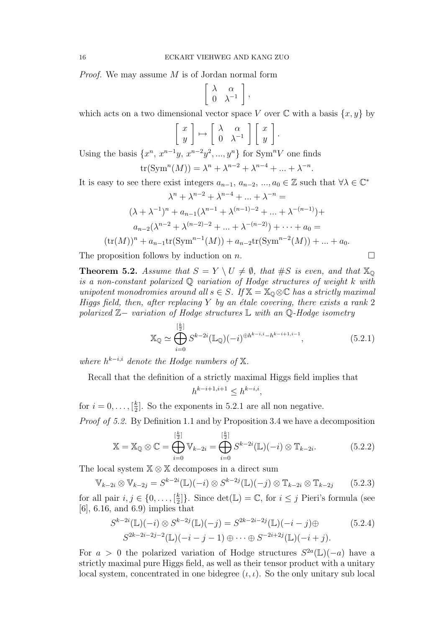Proof. We may assume M is of Jordan normal form

$$
\left[\begin{array}{cc} \lambda & \alpha \\ 0 & \lambda^{-1} \end{array}\right],
$$

which acts on a two dimensional vector space V over  $\mathbb C$  with a basis  $\{x, y\}$  by

$$
\begin{bmatrix} x \\ y \end{bmatrix} \mapsto \begin{bmatrix} \lambda & \alpha \\ 0 & \lambda^{-1} \end{bmatrix} \begin{bmatrix} x \\ y \end{bmatrix}.
$$

Using the basis  $\{x^n, x^{n-1}y, x^{n-2}y^2, ..., y^n\}$  for Sym<sup>n</sup>V one finds

$$
\operatorname{tr}(\operatorname{Sym}^n(M)) = \lambda^n + \lambda^{n-2} + \lambda^{n-4} + \ldots + \lambda^{-n}.
$$

It is easy to see there exist integers  $a_{n-1}, a_{n-2}, ..., a_0 \in \mathbb{Z}$  such that  $\forall \lambda \in \mathbb{C}^*$ 

$$
\lambda^{n} + \lambda^{n-2} + \lambda^{n-4} + \dots + \lambda^{-n} =
$$
  

$$
(\lambda + \lambda^{-1})^{n} + a_{n-1}(\lambda^{n-1} + \lambda^{(n-1)-2} + \dots + \lambda^{-(n-1)}) +
$$
  

$$
a_{n-2}(\lambda^{n-2} + \lambda^{(n-2)-2} + \dots + \lambda^{-(n-2)}) + \dots + a_0 =
$$
  

$$
(\text{tr}(M))^{n} + a_{n-1}\text{tr}(\text{Sym}^{n-1}(M)) + a_{n-2}\text{tr}(\text{Sym}^{n-2}(M)) + \dots + a_0.
$$

The proposition follows by induction on  $n$ .

**Theorem 5.2.** Assume that  $S = Y \setminus U \neq \emptyset$ , that  $\#S$  is even, and that  $\mathbb{X}_{\mathbb{Q}}$ is a non-constant polarized Q variation of Hodge structures of weight k with unipotent monodromies around all  $s \in S$ . If  $\mathbb{X} = \mathbb{X}_{\mathbb{Q}} \otimes \mathbb{C}$  has a strictly maximal Higgs field, then, after replacing  $Y$  by an étale covering, there exists a rank 2 polarized Z− variation of Hodge structures L with an Q-Hodge isometry

$$
\mathbb{X}_{\mathbb{Q}} \simeq \bigoplus_{i=0}^{[\frac{k}{2}]} S^{k-2i}(\mathbb{L}_{\mathbb{Q}})(-i)^{\oplus h^{k-i,i}-h^{k-i+1,i-1}}, \tag{5.2.1}
$$

where  $h^{k-i,i}$  denote the Hodge numbers of  $X$ .

Recall that the definition of a strictly maximal Higgs field implies that

$$
h^{k-i+1,i+1} \le h^{k-i,i},
$$

for  $i = 0, ..., \lceil \frac{k}{2} \rceil$  $\frac{k}{2}$ . So the exponents in 5.2.1 are all non negative.

Proof of 5.2. By Definition 1.1 and by Proposition 3.4 we have a decomposition

$$
\mathbb{X} = \mathbb{X}_{\mathbb{Q}} \otimes \mathbb{C} = \bigoplus_{i=0}^{\left[\frac{k}{2}\right]} \mathbb{V}_{k-2i} = \bigoplus_{i=0}^{\left[\frac{k}{2}\right]} S^{k-2i}(\mathbb{L})(-i) \otimes \mathbb{T}_{k-2i}.
$$
 (5.2.2)

The local system  $X \otimes X$  decomposes in a direct sum

$$
\mathbb{V}_{k-2i} \otimes \mathbb{V}_{k-2j} = S^{k-2i}(\mathbb{L})(-i) \otimes S^{k-2j}(\mathbb{L})(-j) \otimes \mathbb{T}_{k-2i} \otimes \mathbb{T}_{k-2j} \qquad (5.2.3)
$$

for all pair  $i, j \in \{0, \ldots, \lceil \frac{k}{2} \rceil \}$  $\left\{\frac{k}{2}\right\}$ . Since  $\det(\mathbb{L}) = \mathbb{C}$ , for  $i \leq j$  Pieri's formula (see [6], 6.16, and 6.9) implies that

$$
S^{k-2i}(\mathbb{L})(-i) \otimes S^{k-2j}(\mathbb{L})(-j) = S^{2k-2i-2j}(\mathbb{L})(-i-j) \oplus (5.2.4)
$$
  

$$
S^{2k-2i-2j-2}(\mathbb{L})(-i-j-1) \oplus \cdots \oplus S^{-2i+2j}(\mathbb{L})(-i+j).
$$

For  $a > 0$  the polarized variation of Hodge structures  $S^{2a}(\mathbb{L})(-a)$  have a strictly maximal pure Higgs field, as well as their tensor product with a unitary local system, concentrated in one bidegree  $(\iota, \iota)$ . So the only unitary sub local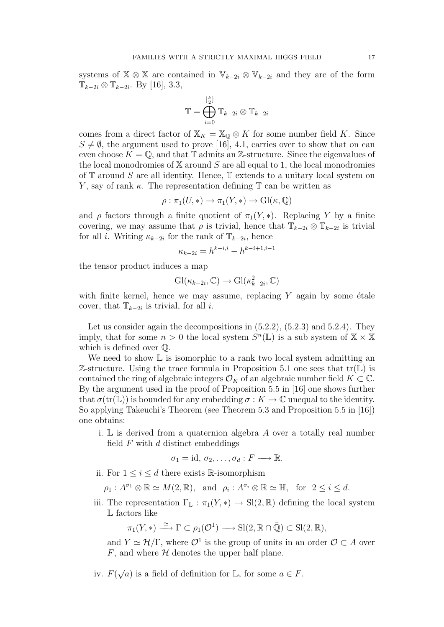systems of  $X \otimes X$  are contained in  $\mathbb{V}_{k-2i} \otimes \mathbb{V}_{k-2i}$  and they are of the form  $\mathbb{T}_{k-2i} \otimes \mathbb{T}_{k-2i}$ . By [16], 3.3,

$$
\mathbb{T} = \bigoplus_{i=0}^{[\frac{k}{2}]} \mathbb{T}_{k-2i} \otimes \mathbb{T}_{k-2i}
$$

comes from a direct factor of  $X_K = X_0 \otimes K$  for some number field K. Since  $S \neq \emptyset$ , the argument used to prove [16], 4.1, carries over to show that on can even choose  $K = \mathbb{Q}$ , and that  $\mathbb{T}$  admits an  $\mathbb{Z}$ -structure. Since the eigenvalues of the local monodromies of  $X$  around  $S$  are all equal to 1, the local monodromies of  $\mathbb T$  around S are all identity. Hence,  $\mathbb T$  extends to a unitary local system on Y, say of rank  $\kappa$ . The representation defining  $\mathbb T$  can be written as

$$
\rho : \pi_1(U, *) \to \pi_1(Y, *) \to \mathrm{Gl}(\kappa, \mathbb{Q})
$$

and  $\rho$  factors through a finite quotient of  $\pi_1(Y, *)$ . Replacing Y by a finite covering, we may assume that  $\rho$  is trivial, hence that  $\mathbb{T}_{k-2i} \otimes \mathbb{T}_{k-2i}$  is trivial for all *i*. Writing  $\kappa_{k-2i}$  for the rank of  $\mathbb{T}_{k-2i}$ , hence

$$
\kappa_{k-2i} = h^{k-i,i} - h^{k-i+1,i-1}
$$

the tensor product induces a map

$$
Gl(\kappa_{k-2i}, \mathbb{C}) \to Gl(\kappa_{k-2i}^2, \mathbb{C})
$$

with finite kernel, hence we may assume, replacing  $Y$  again by some étale cover, that  $\mathbb{T}_{k-2i}$  is trivial, for all *i*.

Let us consider again the decompositions in  $(5.2.2)$ ,  $(5.2.3)$  and  $5.2.4$ ). They imply, that for some  $n > 0$  the local system  $S<sup>n</sup>(\mathbb{L})$  is a sub system of  $\mathbb{X} \times \mathbb{X}$ which is defined over Q.

We need to show  $\mathbb L$  is isomorphic to a rank two local system admitting an Z-structure. Using the trace formula in Proposition 5.1 one sees that  $tr(\mathbb{L})$  is contained the ring of algebraic integers  $\mathcal{O}_K$  of an algebraic number field  $K \subset \mathbb{C}$ . By the argument used in the proof of Proposition 5.5 in [16] one shows further that  $\sigma(\text{tr}(\mathbb{L}))$  is bounded for any embedding  $\sigma: K \to \mathbb{C}$  unequal to the identity. So applying Takeuchi's Theorem (see Theorem 5.3 and Proposition 5.5 in [16]) one obtains:

i.  $\mathbb L$  is derived from a quaternion algebra A over a totally real number field  $F$  with  $d$  distinct embeddings

$$
\sigma_1 = \mathrm{id}, \, \sigma_2, \ldots, \sigma_d : F \longrightarrow \mathbb{R}.
$$

ii. For  $1 \leq i \leq d$  there exists R-isomorphism

 $\rho_1: A^{\sigma_1} \otimes \mathbb{R} \simeq M(2, \mathbb{R}), \text{ and } \rho_i: A^{\sigma_i} \otimes \mathbb{R} \simeq \mathbb{H}, \text{ for } 2 \leq i \leq d.$ 

iii. The representation  $\Gamma_{\mathbb{L}} : \pi_1(Y, *) \to \mathrm{Sl}(2, \mathbb{R})$  defining the local system L factors like

 $\pi_1(Y,*) \stackrel{\simeq}{\longrightarrow} \Gamma \subset \rho_1(\mathcal{O}^1) \longrightarrow \text{Sl}(2,\mathbb{R} \cap \bar{\mathbb{Q}}) \subset \text{Sl}(2,\mathbb{R}),$ 

and  $Y \simeq \mathcal{H}/\Gamma$ , where  $\mathcal{O}^1$  is the group of units in an order  $\mathcal{O} \subset A$  over  $F$ , and where  $H$  denotes the upper half plane.

iv.  $F($  $\sqrt{a}$ ) is a field of definition for L, for some  $a \in F$ .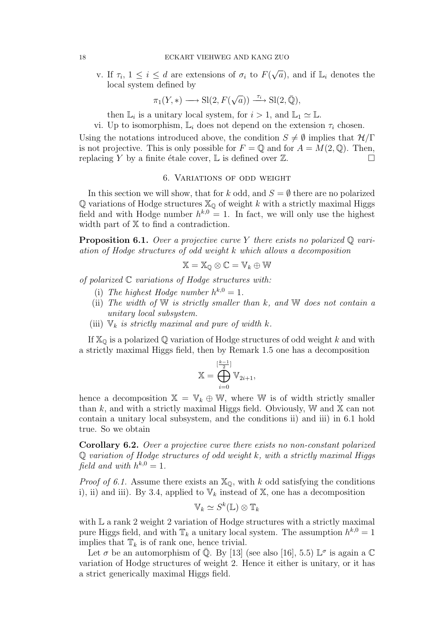v. If  $\tau_i$ ,  $1 \leq i \leq d$  are extensions of  $\sigma_i$  to  $F(x)$  $\sqrt{a}$ , and if  $\mathbb{L}_i$  denotes the local system defined by

$$
\pi_1(Y, *) \longrightarrow \mathrm{Sl}(2, F(\sqrt{a})) \xrightarrow{\tau_i} \mathrm{Sl}(2, \bar{\mathbb{Q}}),
$$

then  $\mathbb{L}_i$  is a unitary local system, for  $i > 1$ , and  $\mathbb{L}_1 \simeq \mathbb{L}$ .

vi. Up to isomorphism,  $\mathbb{L}_i$  does not depend on the extension  $\tau_i$  chosen.

Using the notations introduced above, the condition  $S \neq \emptyset$  implies that  $\mathcal{H}/\Gamma$ is not projective. This is only possible for  $F = \mathbb{Q}$  and for  $A = M(2, \mathbb{Q})$ . Then, replacing Y by a finite étale cover, L is defined over  $\mathbb Z$ .

#### 6. Variations of odd weight

In this section we will show, that for k odd, and  $S = \emptyset$  there are no polarized  $\mathbb Q$  variations of Hodge structures  $\mathbb X_{\mathbb Q}$  of weight k with a strictly maximal Higgs field and with Hodge number  $h^{k,0} = 1$ . In fact, we will only use the highest width part of  $X$  to find a contradiction.

**Proposition 6.1.** Over a projective curve Y there exists no polarized  $\mathbb{Q}$  variation of Hodge structures of odd weight k which allows a decomposition

$$
\mathbb{X} = \mathbb{X}_{\mathbb{Q}} \otimes \mathbb{C} = \mathbb{V}_k \oplus \mathbb{W}
$$

of polarized  $C$  variations of Hodge structures with:

- (i) The highest Hodge number  $h^{k,0} = 1$ .
- (ii) The width of  $W$  is strictly smaller than  $k$ , and  $W$  does not contain a unitary local subsystem.
- (iii)  $\mathbb{V}_k$  is strictly maximal and pure of width k.

If  $\mathbb{X}_{\mathbb{Q}}$  is a polarized  $\mathbb{Q}$  variation of Hodge structures of odd weight k and with a strictly maximal Higgs field, then by Remark 1.5 one has a decomposition

$$
\mathbb{X} = \bigoplus_{i=0}^{[\frac{k-1}{2}]} \mathbb{V}_{2i+1},
$$

hence a decomposition  $\mathbb{X} = \mathbb{V}_k \oplus \mathbb{W}$ , where W is of width strictly smaller than k, and with a strictly maximal Higgs field. Obviously,  $W$  and  $X$  can not contain a unitary local subsystem, and the conditions ii) and iii) in 6.1 hold true. So we obtain

Corollary 6.2. Over a projective curve there exists no non-constant polarized  $\mathbb Q$  variation of Hodge structures of odd weight k, with a strictly maximal Higgs field and with  $h^{k,0} = 1$ .

*Proof of 6.1.* Assume there exists an  $\mathbb{X}_{\mathbb{Q}}$ , with k odd satisfying the conditions i), ii) and iii). By 3.4, applied to  $\mathbb{V}_k$  instead of  $\mathbb{X}$ , one has a decomposition

$$
\mathbb{V}_k \simeq S^k(\mathbb{L}) \otimes \mathbb{T}_k
$$

with  $\mathbb L$  a rank 2 weight 2 variation of Hodge structures with a strictly maximal pure Higgs field, and with  $\mathbb{T}_k$  a unitary local system. The assumption  $h^{k,0} = 1$ implies that  $\mathbb{T}_k$  is of rank one, hence trivial.

Let  $\sigma$  be an automorphism of  $\overline{Q}$ . By [13] (see also [16], 5.5)  $\mathbb{L}^{\sigma}$  is again a  $\mathbb{C}$ variation of Hodge structures of weight 2. Hence it either is unitary, or it has a strict generically maximal Higgs field.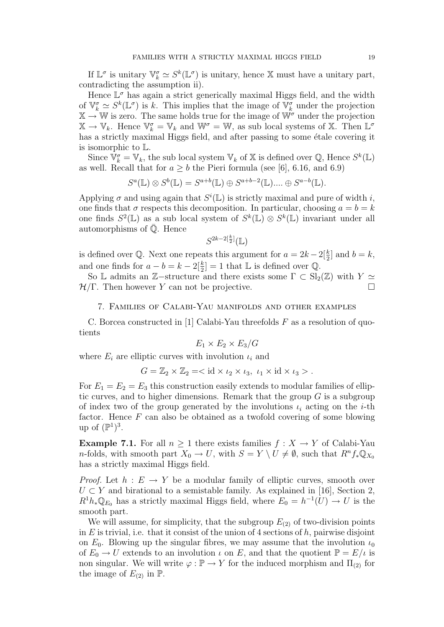If  $\mathbb{L}^{\sigma}$  is unitary  $\mathbb{V}_{k}^{\sigma} \simeq S^{k}(\mathbb{L}^{\sigma})$  is unitary, hence X must have a unitary part, contradicting the assumption ii).

Hence  $\mathbb{L}^{\sigma}$  has again a strict generically maximal Higgs field, and the width of  $\mathbb{V}_k^{\sigma} \simeq S^k(\mathbb{L}^{\sigma})$  is k. This implies that the image of  $\mathbb{V}_k^{\sigma}$  under the projection  $\mathbb{X} \to \mathbb{W}$  is zero. The same holds true for the image of  $\mathbb{W}^{\sigma}$  under the projection  $\mathbb{X} \to \mathbb{V}_k$ . Hence  $\mathbb{V}_k^{\sigma} = \mathbb{V}_k$  and  $\mathbb{W}^{\sigma} = \mathbb{W}$ , as sub local systems of X. Then  $\mathbb{L}^{\sigma}$ has a strictly maximal Higgs field, and after passing to some étale covering it is isomorphic to L.

Since  $\overline{\mathbb{V}}_k^{\sigma} = \mathbb{V}_k$ , the sub local system  $\mathbb{V}_k$  of X is defined over  $\mathbb{Q}$ , Hence  $S^k(\mathbb{L})$ as well. Recall that for  $a > b$  the Pieri formula (see [6], 6.16, and 6.9)

$$
S^{a}(\mathbb{L}) \otimes S^{b}(\mathbb{L}) = S^{a+b}(\mathbb{L}) \oplus S^{a+b-2}(\mathbb{L}) \dots \oplus S^{a-b}(\mathbb{L}).
$$

Applying  $\sigma$  and using again that  $S^i(\mathbb{L})$  is strictly maximal and pure of width i, one finds that  $\sigma$  respects this decomposition. In particular, choosing  $a = b = k$ one finds  $S^2(\mathbb{L})$  as a sub local system of  $S^k(\mathbb{L}) \otimes S^k(\mathbb{L})$  invariant under all automorphisms of  $\overline{Q}$ . Hence

$$
S^{2k-2\left[\frac{k}{2}\right]}\left(\mathbb{L}\right)
$$

is defined over Q. Next one repeats this argument for  $a = 2k - 2\left[\frac{k}{2}\right]$  and  $b = k$ , and one finds for  $a - b = k - 2\left[\frac{k}{2}\right] = 1$  that  $\mathbb{L}$  is defined over  $\mathbb{Q}$ .

So L admits an Z-structure and there exists some  $\Gamma \subset Sl_2(\mathbb{Z})$  with  $Y \simeq$  $\mathcal{H}/\Gamma$ . Then however Y can not be projective.

#### 7. Families of Calabi-Yau manifolds and other examples

C. Borcea constructed in [1] Calabi-Yau threefolds  $F$  as a resolution of quotients

$$
E_1 \times E_2 \times E_3/G
$$

where  $E_i$  are elliptic curves with involution  $\iota_i$  and

$$
G = \mathbb{Z}_2 \times \mathbb{Z}_2 = \langle id \times \iota_2 \times \iota_3, \ \iota_1 \times id \times \iota_3 \rangle.
$$

For  $E_1 = E_2 = E_3$  this construction easily extends to modular families of elliptic curves, and to higher dimensions. Remark that the group  $G$  is a subgroup of index two of the group generated by the involutions  $\iota_i$  acting on the *i*-th factor. Hence  $F$  can also be obtained as a twofold covering of some blowing up of  $(\mathbb{P}^1)^3$ .

Example 7.1. For all  $n \geq 1$  there exists families  $f : X \to Y$  of Calabi-Yau n-folds, with smooth part  $X_0 \to U$ , with  $S = Y \setminus U \neq \emptyset$ , such that  $R^n f_* \mathbb{Q}_{X_0}$ has a strictly maximal Higgs field.

*Proof.* Let  $h : E \to Y$  be a modular family of elliptic curves, smooth over  $U \subset Y$  and birational to a semistable family. As explained in [16], Section 2,  $R^1 h_* \mathbb{Q}_{E_0}$  has a strictly maximal Higgs field, where  $E_0 = h^{-1}(U) \rightarrow U$  is the smooth part.

We will assume, for simplicity, that the subgroup  $E_{(2)}$  of two-division points in  $E$  is trivial, i.e. that it consist of the union of 4 sections of  $h$ , pairwise disjoint on  $E_0$ . Blowing up the singular fibres, we may assume that the involution  $\iota_0$ of  $E_0 \to U$  extends to an involution  $\iota$  on E, and that the quotient  $\mathbb{P} = E/\iota$  is non singular. We will write  $\varphi : \mathbb{P} \to Y$  for the induced morphism and  $\Pi_{(2)}$  for the image of  $E_{(2)}$  in  $\mathbb{P}$ .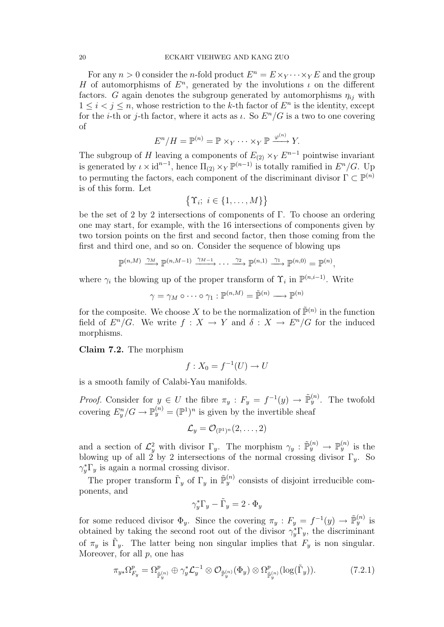For any  $n > 0$  consider the *n*-fold product  $E^n = E \times_Y \cdots \times_Y E$  and the group H of automorphisms of  $E<sup>n</sup>$ , generated by the involutions  $\iota$  on the different factors. G again denotes the subgroup generated by automorphisms  $\eta_{ij}$  with  $1 \leq i < j \leq n$ , whose restriction to the k-th factor of  $E^n$  is the identity, except for the *i*-th or *j*-th factor, where it acts as  $\iota$ . So  $E<sup>n</sup>/G$  is a two to one covering of

$$
E^n/H = \mathbb{P}^{(n)} = \mathbb{P} \times_Y \cdots \times_Y \mathbb{P} \xrightarrow{\varphi^{(n)}} Y.
$$

The subgroup of H leaving a components of  $E_{(2)} \times_Y E^{n-1}$  pointwise invariant is generated by  $\iota \times id^{n-1}$ , hence  $\Pi_{(2)} \times_Y \mathbb{P}^{(n-1)}$  is totally ramified in  $E^n/G$ . Up to permuting the factors, each component of the discriminant divisor  $\Gamma \subset \mathbb{P}^{(n)}$ is of this form. Let

$$
\{\Upsilon_i; i \in \{1, \ldots, M\}\}\
$$

be the set of 2 by 2 intersections of components of Γ. To choose an ordering one may start, for example, with the 16 intersections of components given by two torsion points on the first and second factor, then those coming from the first and third one, and so on. Consider the sequence of blowing ups

$$
\mathbb{P}^{(n,M)} \xrightarrow{\gamma_M} \mathbb{P}^{(n,M-1)} \xrightarrow{\gamma_{M-1}} \cdots \xrightarrow{\gamma_2} \mathbb{P}^{(n,1)} \xrightarrow{\gamma_1} \mathbb{P}^{(n,0)} = \mathbb{P}^{(n)},
$$

where  $\gamma_i$  the blowing up of the proper transform of  $\Upsilon_i$  in  $\mathbb{P}^{(n,i-1)}$ . Write

$$
\gamma = \gamma_M \circ \cdots \circ \gamma_1 : \mathbb{P}^{(n,M)} = \tilde{\mathbb{P}}^{(n)} \longrightarrow \mathbb{P}^{(n)}
$$

for the composite. We choose X to be the normalization of  $\tilde{\mathbb{P}}^{(n)}$  in the function field of  $E^n/G$ . We write  $f: X \to Y$  and  $\delta: X \to E^n/G$  for the induced morphisms.

Claim 7.2. The morphism

$$
f: X_0 = f^{-1}(U) \to U
$$

is a smooth family of Calabi-Yau manifolds.

*Proof.* Consider for  $y \in U$  the fibre  $\pi_y : F_y = f^{-1}(y) \to \tilde{\mathbb{P}}_y^{(n)}$ . The twofold covering  $E_y^n/G \to \mathbb{P}_y^{(n)} = (\mathbb{P}^1)^n$  is given by the invertible sheaf

$$
\mathcal{L}_y = \mathcal{O}_{(\mathbb{P}^1)^n}(2,\ldots,2)
$$

and a section of  $\mathcal{L}_y^2$  with divisor  $\Gamma_y$ . The morphism  $\gamma_y : \tilde{\mathbb{P}}_y^{(n)} \to \mathbb{P}_y^{(n)}$  is the blowing up of all 2 by 2 intersections of the normal crossing divisor  $\Gamma_y$ . So  $\gamma_y^* \Gamma_y$  is again a normal crossing divisor.

The proper transform  $\tilde{\Gamma}_y$  of  $\Gamma_y$  in  $\tilde{\mathbb{P}}_y^{(n)}$  consists of disjoint irreducible components, and

$$
\gamma_y^* \Gamma_y - \tilde{\Gamma}_y = 2 \cdot \Phi_y
$$

for some reduced divisor  $\Phi_y$ . Since the covering  $\pi_y : F_y = f^{-1}(y) \to \tilde{\mathbb{P}}_y^{(n)}$  is obtained by taking the second root out of the divisor  $\gamma_y^* \Gamma_y$ , the discriminant of  $\pi_y$  is  $\tilde{\Gamma}_y$ . The latter being non singular implies that  $F_y$  is non singular. Moreover, for all  $p$ , one has

$$
\pi_{y*}\Omega_{F_y}^p = \Omega_{\tilde{\mathbb{P}}_y^{(n)}}^p \oplus \gamma_y^* \mathcal{L}_y^{-1} \otimes \mathcal{O}_{\tilde{\mathbb{P}}_y^{(n)}}(\Phi_y) \otimes \Omega_{\tilde{\mathbb{P}}_y^{(n)}}^p(\log(\tilde{\Gamma}_y)).\tag{7.2.1}
$$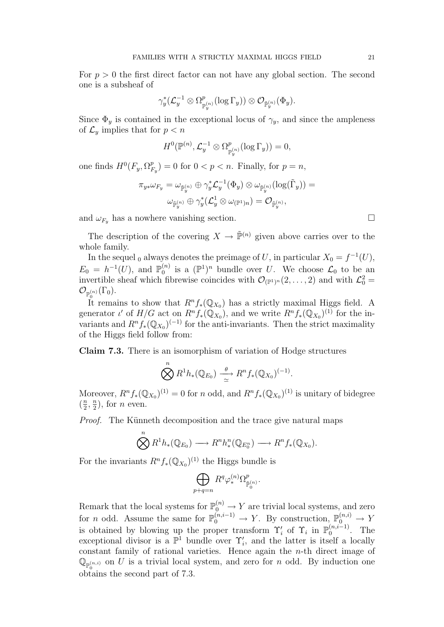For  $p > 0$  the first direct factor can not have any global section. The second one is a subsheaf of

$$
\gamma_y^*({\mathcal L}_y^{-1}\otimes \Omega^p_{{\mathbb P}^{(n)}_y}(\log \Gamma_y))\otimes {\mathcal O}_{\tilde{\mathbb P}^{(n)}_y}(\Phi_y).
$$

Since  $\Phi_y$  is contained in the exceptional locus of  $\gamma_y$ , and since the ampleness of  $\mathcal{L}_y$  implies that for  $p < n$ 

$$
H^0(\mathbb{P}^{(n)}, \mathcal{L}_y^{-1} \otimes \Omega^p_{\mathbb{P}_y^{(n)}}(\log \Gamma_y)) = 0,
$$

one finds  $H^0(F_y, \Omega_P^p)$  $F_{F_y}^p$  = 0 for  $0 < p < n$ . Finally, for  $p = n$ ,

$$
\pi_{y*}\omega_{F_y}=\omega_{\tilde{\mathbb{P}}^{(n)}_y}\oplus \gamma_y^*{\mathcal{L}}^{-1}_y(\Phi_y)\otimes \omega_{\tilde{\mathbb{P}}^{(n)}_y}(\log(\tilde{\Gamma}_y))=\\\omega_{\tilde{\mathbb{P}}^{(n)}_y}\oplus \gamma_y^*({\mathcal{L}}^1_y\otimes \omega_{(\mathbb{P}^1)n})={\mathcal{O}}_{\tilde{\mathbb{P}}^{(n)}_y},
$$

and  $\omega_{F_y}$  has a nowhere vanishing section.

The description of the covering  $X \to \tilde{\mathbb{P}}^{(n)}$  given above carries over to the whole family.

In the sequel <sub>0</sub> always denotes the preimage of U, in particular  $X_0 = f^{-1}(U)$ ,  $E_0 = h^{-1}(U)$ , and  $\mathbb{P}_0^{(n)}$  $\mathcal{L}_0^{(n)}$  is a  $(\mathbb{P}^1)^n$  bundle over U. We choose  $\mathcal{L}_0$  to be an invertible sheaf which fibrewise coincides with  $\mathcal{O}_{(\mathbb{P}^1)^n}(2,\ldots,2)$  and with  $\mathcal{L}_0^2$  =  $\mathcal{O}_{\mathbb{P}_0^{(n)}}(\Gamma_0).$ 

It remains to show that  $R^n f_*(\mathbb{Q}_{X_0})$  has a strictly maximal Higgs field. A generator  $\iota'$  of  $H/G$  act on  $R^n f_*(\mathbb{Q}_{X_0})$ , and we write  $R^n f_*(\mathbb{Q}_{X_0})^{(1)}$  for the invariants and  $R^n f_*(\mathbb{Q}_{X_0})^{(-1)}$  for the anti-invariants. Then the strict maximality of the Higgs field follow from:

Claim 7.3. There is an isomorphism of variation of Hodge structures

$$
\bigotimes R^1h_*({\mathbb Q}_{E_0})\xrightarrow[\simeq]{\theta} R^n f_*({\mathbb Q}_{X_0})^{(-1)}.
$$

Moreover,  $R^n f_*(\mathbb{Q}_{X_0})^{(1)} = 0$  for n odd, and  $R^n f_*(\mathbb{Q}_{X_0})^{(1)}$  is unitary of bidegree  $\left(\frac{n}{2}\right)$  $\frac{n}{2}, \frac{n}{2}$  $\frac{n}{2}$ , for *n* even.

Proof. The Künneth decomposition and the trace give natural maps

$$
\bigotimes^n R^1h_*({\mathbb Q}_{E_0}) \longrightarrow R^n h^n_*({\mathbb Q}_{E_0^n}) \longrightarrow R^n f_*({\mathbb Q}_{X_0}).
$$

For the invariants  $R^n f_*(\mathbb{Q}_{X_0})^{(1)}$  the Higgs bundle is

 $\overline{n}$ 

$$
\bigoplus_{p+q=n} R^q \varphi^{(n)}_* \Omega^p_{\tilde{\mathbb{P}}^{(n)}_0}.
$$

Remark that the local systems for  $\mathbb{P}_0^{(n)} \to Y$  are trivial local systems, and zero for *n* odd. Assume the same for  $\mathbb{P}_0^{(n,i-1)} \to Y$ . By construction,  $\mathbb{P}_0^{(n,i)} \to Y$ is obtained by blowing up the proper transform  $\Upsilon_i'$  of  $\Upsilon_i$  in  $\mathbb{P}_0^{(n,i-1)}$  $0^{(n,i-1)}$ . The exceptional divisor is a  $\mathbb{P}^1$  bundle over  $\Upsilon'_i$ , and the latter is itself a locally constant family of rational varieties. Hence again the  $n$ -th direct image of  $\mathbb{Q}_{p(n,i)}$  on U is a trivial local system, and zero for n odd. By induction one 0 obtains the second part of 7.3.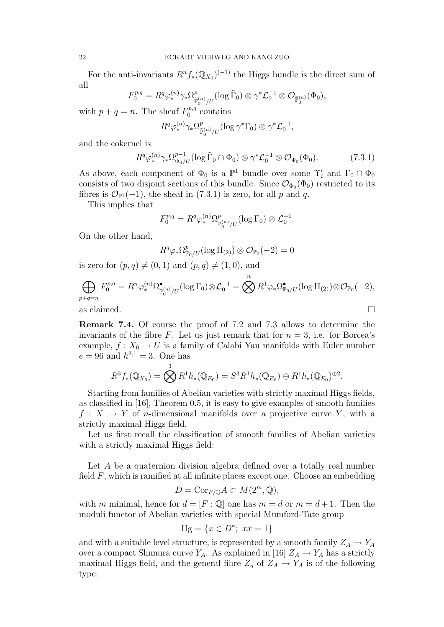For the anti-invariants  $R^n f_*(\mathbb{Q}_{X_0})^{(-1)}$  the Higgs bundle is the direct sum of all

$$
F_0^{p,q}=R^q\varphi^{(n)}_*\gamma_*\Omega^p_{\tilde{\mathbb{P}}_0^{(n)}/U}(\log \tilde{\Gamma}_0)\otimes \gamma^* \mathcal{L}_0^{-1}\otimes \mathcal{O}_{\tilde{\mathbb{P}}_0^{(n)}}(\Phi_0),
$$

with  $p + q = n$ . The sheaf  $F_0^{p,q}$  $n_0^{p,q}$  contains

$$
R^q \varphi^{(n)}_* \gamma_* \Omega_{\tilde{\mathbb{P}}_0^{(n)}/U}^p(\log \gamma^* \Gamma_0) \otimes \gamma^* \mathcal{L}_0^{-1},
$$

and the cokernel is

$$
R^q \varphi_*^{(n)} \gamma_* \Omega_{\Phi_0/U}^{p-1} (\log \tilde{\Gamma}_0 \cap \Phi_0) \otimes \gamma^* \mathcal{L}_0^{-1} \otimes \mathcal{O}_{\Phi_0}(\Phi_0).
$$
 (7.3.1)

As above, each component of  $\Phi_0$  is a  $\mathbb{P}^1$  bundle over some  $\Upsilon'_i$  and  $\Gamma_0 \cap \Phi_0$ consists of two disjoint sections of this bundle. Since  $\mathcal{O}_{\Phi_0}(\Phi_0)$  restricted to its fibres is  $\mathcal{O}_{\mathbb{P}^1}(-1)$ , the sheaf in (7.3.1) is zero, for all p and q.

This implies that

$$
F_0^{p,q} = R^q \varphi_*^{(n)} \Omega_{\mathbb{P}_0^{(n)}/U}^p(\log \Gamma_0) \otimes \mathcal{L}_0^{-1}.
$$

On the other hand,

$$
R^q\varphi_*\Omega^p_{\mathbb P_0/U}(\log\Pi_{(2)})\otimes\mathcal O_{\mathbb P_0}(-2)=0
$$

is zero for  $(p, q) \neq (0, 1)$  and  $(p, q) \neq (1, 0)$ , and

$$
\bigoplus_{p+q=n} F_0^{p,q} = R^n \varphi_*^{(n)} \Omega_{\mathbb{P}_0^{(n)}/U}^{\bullet} (\log \Gamma_0) \otimes \mathcal{L}_0^{-1} = \bigotimes^n R^1 \varphi_* \Omega_{\mathbb{P}_0/U}^{\bullet} (\log \Pi_{(2)}) \otimes \mathcal{O}_{\mathbb{P}_0}(-2),
$$
  
as claimed.

Remark 7.4. Of course the proof of 7.2 and 7.3 allows to determine the invariants of the fibre F. Let us just remark that for  $n = 3$ , i.e. for Borcea's example,  $f: X_0 \to U$  is a family of Calabi Yau manifolds with Euler number

$$
e = 96
$$
 and  $h^{2,1} = 3$ . One has  
\n
$$
R^{3} f_{*}(\mathbb{Q}_{X_{0}}) = \bigotimes^{3} R^{1} h_{*}(\mathbb{Q}_{E_{0}}) = S^{3} R^{1} h_{*}(\mathbb{Q}_{E_{0}}) \oplus R^{1} h_{*}(\mathbb{Q}_{E_{0}})^{\oplus 2}.
$$

Starting from families of Abelian varieties with strictly maximal Higgs fields, as classified in [16], Theorem 0.5, it is easy to give examples of smooth families  $f: X \to Y$  of *n*-dimensional manifolds over a projective curve Y, with a strictly maximal Higgs field.

Let us first recall the classification of smooth families of Abelian varieties with a strictly maximal Higgs field:

Let A be a quaternion division algebra defined over a totally real number field  $F$ , which is ramified at all infinite places except one. Choose an embedding

$$
D = \text{Cor}_{F/\mathbb{Q}} A \subset M(2^m, \mathbb{Q}),
$$

with m minimal, hence for  $d = [F : \mathbb{Q}]$  one has  $m = d$  or  $m = d + 1$ . Then the moduli functor of Abelian varieties with special Mumford-Tate group

$$
Hg = \{ x \in D^*; \ x\bar{x} = 1 \}
$$

and with a suitable level structure, is represented by a smooth family  $Z_A \to Y_A$ over a compact Shimura curve  $Y_A$ . As explained in [16]  $Z_A \rightarrow Y_A$  has a strictly maximal Higgs field, and the general fibre  $Z_{\eta}$  of  $Z_A \rightarrow Y_A$  is of the following type: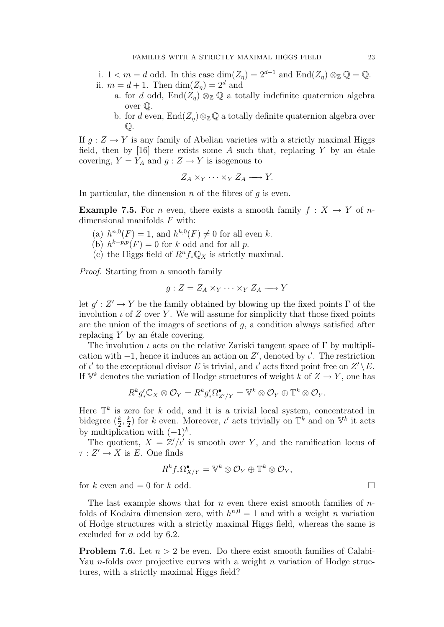i.  $1 < m = d$  odd. In this case  $\dim(Z_\eta) = 2^{d-1}$  and  $\text{End}(Z_\eta) \otimes_{\mathbb{Z}} \mathbb{Q} = \mathbb{Q}$ . ii.  $m = d + 1$ . Then  $\dim(Z_n) = 2^d$  and

- a. for d odd,  $\text{End}(Z_n) \otimes_{\mathbb{Z}} \mathbb{Q}$  a totally indefinite quaternion algebra over Q.
- b. for d even,  $\text{End}(Z_n)\otimes_{\mathbb{Z}}\mathbb{Q}$  a totally definite quaternion algebra over  $\mathbb{O}.$

If  $q: Z \to Y$  is any family of Abelian varieties with a strictly maximal Higgs field, then by [16] there exists some A such that, replacing Y by an étale covering,  $Y = Y_A$  and  $g: Z \to Y$  is isogenous to

$$
Z_A \times_Y \cdots \times_Y Z_A \longrightarrow Y.
$$

In particular, the dimension  $n$  of the fibres of  $q$  is even.

**Example 7.5.** For *n* even, there exists a smooth family  $f : X \to Y$  of *n*dimensional manifolds  $F$  with:

- (a)  $h^{n,0}(F) = 1$ , and  $h^{k,0}(F) \neq 0$  for all even k.
- (b)  $h^{k-p,p}(F) = 0$  for k odd and for all p.
- (c) the Higgs field of  $R^n f_* \mathbb{Q}_X$  is strictly maximal.

Proof. Starting from a smooth family

$$
g: Z = Z_A \times_Y \cdots \times_Y Z_A \longrightarrow Y
$$

let  $g' : Z' \to Y$  be the family obtained by blowing up the fixed points  $\Gamma$  of the involution  $\iota$  of Z over Y. We will assume for simplicity that those fixed points are the union of the images of sections of g, a condition always satisfied after replacing  $Y$  by an étale covering.

The involution  $\iota$  acts on the relative Zariski tangent space of  $\Gamma$  by multiplication with  $-1$ , hence it induces an action on Z', denoted by  $\iota'$ . The restriction of  $\iota'$  to the exceptional divisor E is trivial, and  $\iota'$  acts fixed point free on  $Z' \setminus E$ . If  $\mathbb{V}^k$  denotes the variation of Hodge structures of weight k of  $Z \to Y$ , one has

$$
R^kg'_*\mathbb{C}_X\otimes \mathcal{O}_Y=R^kg'_*\Omega^{\bullet}_{Z'/Y}=\mathbb{V}^k\otimes \mathcal{O}_Y\oplus \mathbb{T}^k\otimes \mathcal{O}_Y.
$$

Here  $\mathbb{T}^k$  is zero for k odd, and it is a trivial local system, concentrated in bidegree  $(\frac{k}{2}, \frac{k}{2})$  $\frac{k}{2}$ ) for k even. Moreover,  $\iota'$  acts trivially on  $\mathbb{T}^k$  and on  $\mathbb{V}^k$  it acts by multiplication with  $(-1)^k$ .

The quotient,  $X = \mathbb{Z}/\iota'$  is smooth over Y, and the ramification locus of  $\tau: Z' \to X$  is E. One finds

$$
R^kf_*\Omega^{\bullet}_{X/Y}=\mathbb{V}^k\otimes\mathcal{O}_Y\oplus\mathbb{T}^k\otimes\mathcal{O}_Y,
$$

for k even and  $= 0$  for k odd.

The last example shows that for n even there exist smooth families of  $n$ folds of Kodaira dimension zero, with  $h^{n,0} = 1$  and with a weight n variation of Hodge structures with a strictly maximal Higgs field, whereas the same is excluded for *n* odd by 6.2.

**Problem 7.6.** Let  $n > 2$  be even. Do there exist smooth families of Calabi-Yau *n*-folds over projective curves with a weight *n* variation of Hodge structures, with a strictly maximal Higgs field?